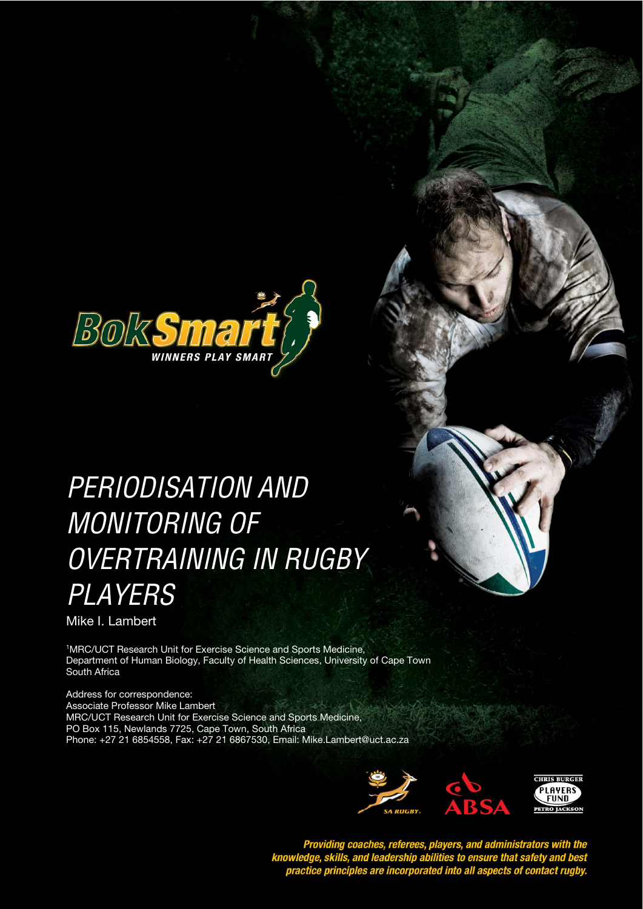

# PERIODISATION AND **STYLE HEADING FOR TABLES**  MONITORING OF OVERTRAINING IN RUGBY **PLAYERS**

Mike I. Lambert

<sup>1</sup>MRC/UCT Research Unit for Exercise Science and Sports Medicine, Department of Human Biology, Faculty of Health Sciences, University of Cape Town South Africa

Address for correspondence: Associate Professor Mike Lambert MRC/UCT Research Unit for Exercise Science and Sports Medicine, PO Box 115, Newlands 7725, Cape Town, South Africa Phone: +27 21 6854558, Fax: +27 21 6867530, Email: Mike.Lambert@uct.ac.za





Providing coaches, referees, players, and administrators with the<br>knowledge, skills, and leadership abilities to ensure that safety and best<br>practice principles are incorporated into all aspects of contact rugby.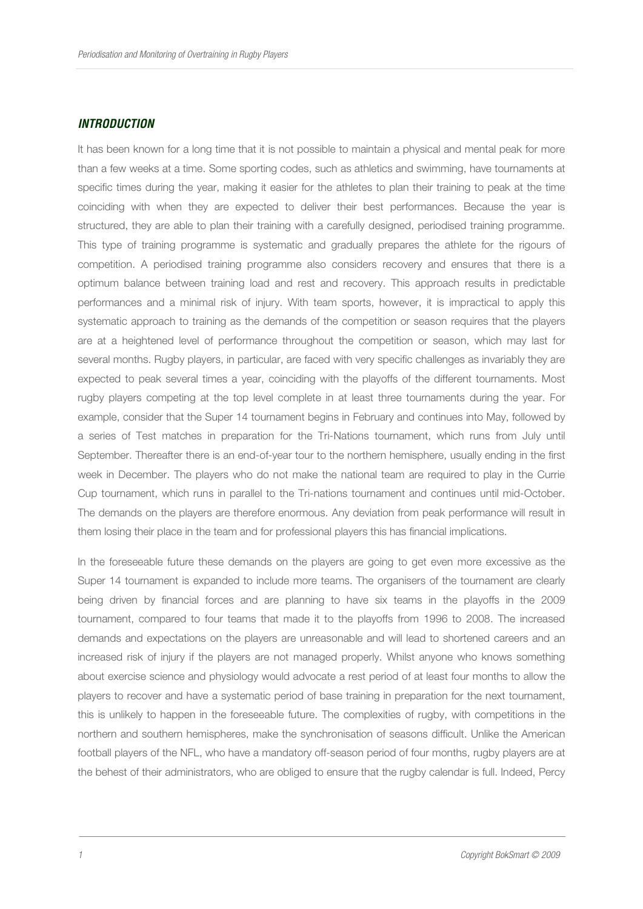#### **INTRODUCTION**

It has been known for a long time that it is not possible to maintain a physical and mental peak for more than a few weeks at a time. Some sporting codes, such as athletics and swimming, have tournaments at specific times during the year, making it easier for the athletes to plan their training to peak at the time coinciding with when they are expected to deliver their best performances. Because the year is structured, they are able to plan their training with a carefully designed, periodised training programme. This type of training programme is systematic and gradually prepares the athlete for the rigours of competition. A periodised training programme also considers recovery and ensures that there is a optimum balance between training load and rest and recovery. This approach results in predictable performances and a minimal risk of injury. With team sports, however, it is impractical to apply this systematic approach to training as the demands of the competition or season requires that the players are at a heightened level of performance throughout the competition or season, which may last for several months. Rugby players, in particular, are faced with very specific challenges as invariably they are expected to peak several times a year, coinciding with the playoffs of the different tournaments. Most rugby players competing at the top level complete in at least three tournaments during the year. For example, consider that the Super 14 tournament begins in February and continues into May, followed by a series of Test matches in preparation for the Tri-Nations tournament, which runs from July until September. Thereafter there is an end-of-year tour to the northern hemisphere, usually ending in the first week in December. The players who do not make the national team are required to play in the Currie Cup tournament, which runs in parallel to the Tri-nations tournament and continues until mid-October. The demands on the players are therefore enormous. Any deviation from peak performance will result in them losing their place in the team and for professional players this has financial implications.

In the foreseeable future these demands on the players are going to get even more excessive as the Super 14 tournament is expanded to include more teams. The organisers of the tournament are clearly being driven by financial forces and are planning to have six teams in the playoffs in the 2009 tournament, compared to four teams that made it to the playoffs from 1996 to 2008. The increased demands and expectations on the players are unreasonable and will lead to shortened careers and an increased risk of injury if the players are not managed properly. Whilst anyone who knows something about exercise science and physiology would advocate a rest period of at least four months to allow the players to recover and have a systematic period of base training in preparation for the next tournament, this is unlikely to happen in the foreseeable future. The complexities of rugby, with competitions in the northern and southern hemispheres, make the synchronisation of seasons difficult. Unlike the American football players of the NFL, who have a mandatory off-season period of four months, rugby players are at the behest of their administrators, who are obliged to ensure that the rugby calendar is full. Indeed, Percy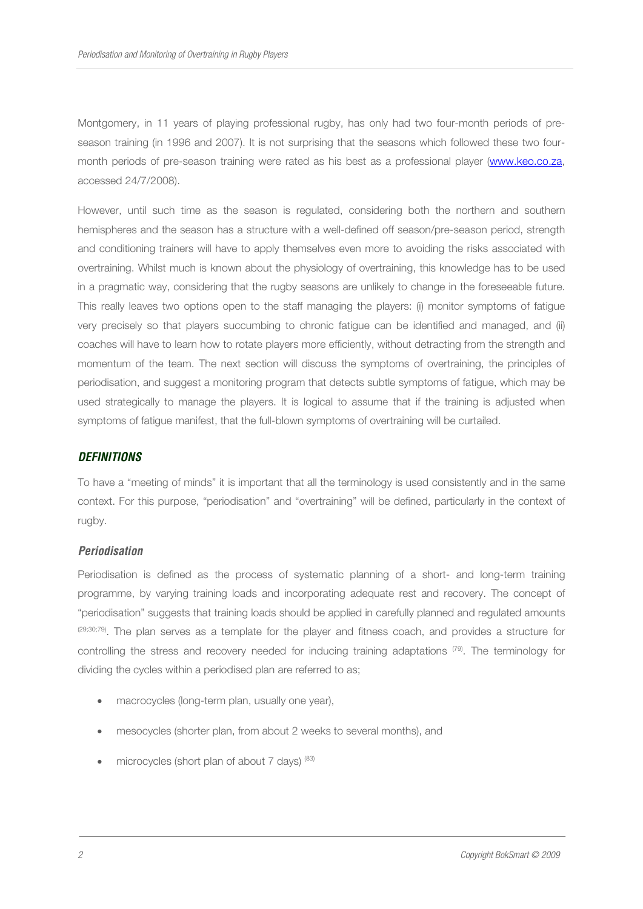Montgomery, in 11 years of playing professional rugby, has only had two four-month periods of preseason training (in 1996 and 2007). It is not surprising that the seasons which followed these two fourmonth periods of pre-season training were rated as his best as a professional player (www.keo.co.za, accessed 24/7/2008).

However, until such time as the season is regulated, considering both the northern and southern hemispheres and the season has a structure with a well-defined off season/pre-season period, strength and conditioning trainers will have to apply themselves even more to avoiding the risks associated with overtraining. Whilst much is known about the physiology of overtraining, this knowledge has to be used in a pragmatic way, considering that the rugby seasons are unlikely to change in the foreseeable future. This really leaves two options open to the staff managing the players: (i) monitor symptoms of fatigue very precisely so that players succumbing to chronic fatigue can be identified and managed, and (ii) coaches will have to learn how to rotate players more efficiently, without detracting from the strength and momentum of the team. The next section will discuss the symptoms of overtraining, the principles of periodisation, and suggest a monitoring program that detects subtle symptoms of fatigue, which may be used strategically to manage the players. It is logical to assume that if the training is adjusted when symptoms of fatigue manifest, that the full-blown symptoms of overtraining will be curtailed.

# **DEFINITIONS**

To have a "meeting of minds" it is important that all the terminology is used consistently and in the same context. For this purpose, "periodisation" and "overtraining" will be defined, particularly in the context of rugby.

# **Periodisation**

Periodisation is defined as the process of systematic planning of a short- and long-term training programme, by varying training loads and incorporating adequate rest and recovery. The concept of "periodisation" suggests that training loads should be applied in carefully planned and regulated amounts (29;30;79). The plan serves as a template for the player and fitness coach, and provides a structure for controlling the stress and recovery needed for inducing training adaptations (79). The terminology for dividing the cycles within a periodised plan are referred to as;

- macrocycles (long-term plan, usually one year),
- mesocycles (shorter plan, from about 2 weeks to several months), and
- microcycles (short plan of about 7 days) (83)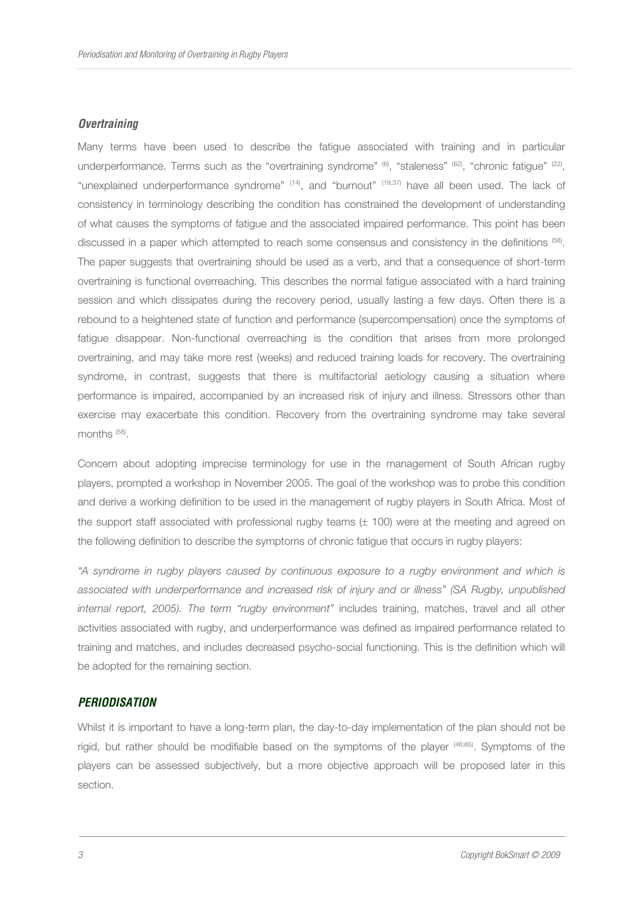#### **Overtraining**

Many terms have been used to describe the fatigue associated with training and in particular underperformance. Terms such as the "overtraining syndrome"  $^{(6)}$ , "staleness"  $^{(62)}$ , "chronic fatigue"  $^{(22)}$ , "unexplained underperformance syndrome" (14), and "burnout" (19;37) have all been used. The lack of consistency in terminology describing the condition has constrained the development of understanding of what causes the symptoms of fatigue and the associated impaired performance. This point has been discussed in a paper which attempted to reach some consensus and consistency in the definitions (58). The paper suggests that overtraining should be used as a verb, and that a consequence of short-term overtraining is functional overreaching. This describes the normal fatigue associated with a hard training session and which dissipates during the recovery period, usually lasting a few days. Often there is a rebound to a heightened state of function and performance (supercompensation) once the symptoms of fatigue disappear. Non-functional overreaching is the condition that arises from more prolonged overtraining, and may take more rest (weeks) and reduced training loads for recovery. The overtraining syndrome, in contrast, suggests that there is multifactorial aetiology causing a situation where performance is impaired, accompanied by an increased risk of injury and illness. Stressors other than exercise may exacerbate this condition. Recovery from the overtraining syndrome may take several months (58) .

Concern about adopting imprecise terminology for use in the management of South African rugby players, prompted a workshop in November 2005. The goal of the workshop was to probe this condition and derive a working definition to be used in the management of rugby players in South Africa. Most of the support staff associated with professional rugby teams ( $\pm$  100) were at the meeting and agreed on the following definition to describe the symptoms of chronic fatigue that occurs in rugby players:

"A syndrome in rugby players caused by continuous exposure to a rugby environment and which is associated with underperformance and increased risk of injury and or illness" (SA Rugby, unpublished internal report, 2005). The term "rugby environment" includes training, matches, travel and all other activities associated with rugby, and underperformance was defined as impaired performance related to training and matches, and includes decreased psycho-social functioning. This is the definition which will be adopted for the remaining section.

### **PERIODISATION**

Whilst it is important to have a long-term plan, the day-to-day implementation of the plan should not be rigid, but rather should be modifiable based on the symptoms of the player <sup>(46;65)</sup>. Symptoms of the players can be assessed subjectively, but a more objective approach will be proposed later in this section.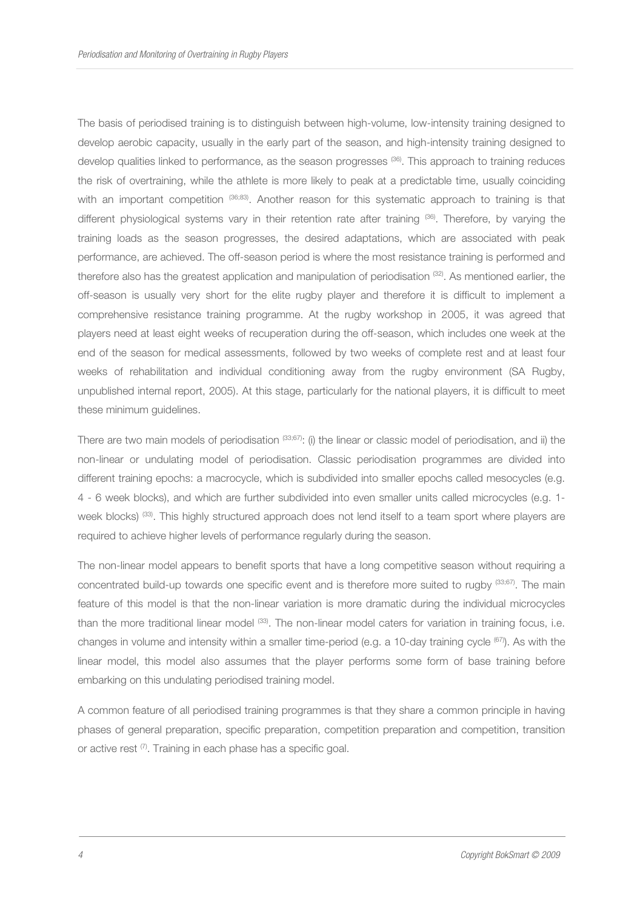The basis of periodised training is to distinguish between high-volume, low-intensity training designed to develop aerobic capacity, usually in the early part of the season, and high-intensity training designed to develop qualities linked to performance, as the season progresses (36). This approach to training reduces the risk of overtraining, while the athlete is more likely to peak at a predictable time, usually coinciding with an important competition (36;83). Another reason for this systematic approach to training is that different physiological systems vary in their retention rate after training (36). Therefore, by varying the training loads as the season progresses, the desired adaptations, which are associated with peak performance, are achieved. The off-season period is where the most resistance training is performed and therefore also has the greatest application and manipulation of periodisation (32). As mentioned earlier, the off-season is usually very short for the elite rugby player and therefore it is difficult to implement a comprehensive resistance training programme. At the rugby workshop in 2005, it was agreed that players need at least eight weeks of recuperation during the off-season, which includes one week at the end of the season for medical assessments, followed by two weeks of complete rest and at least four weeks of rehabilitation and individual conditioning away from the rugby environment (SA Rugby, unpublished internal report, 2005). At this stage, particularly for the national players, it is difficult to meet these minimum guidelines.

There are two main models of periodisation  $(33,67)$ : (i) the linear or classic model of periodisation, and ii) the non-linear or undulating model of periodisation. Classic periodisation programmes are divided into different training epochs: a macrocycle, which is subdivided into smaller epochs called mesocycles (e.g. 4 - 6 week blocks), and which are further subdivided into even smaller units called microcycles (e.g. 1 week blocks) <sup>(33)</sup>. This highly structured approach does not lend itself to a team sport where players are required to achieve higher levels of performance regularly during the season.

The non-linear model appears to benefit sports that have a long competitive season without requiring a concentrated build-up towards one specific event and is therefore more suited to rugby (33;67). The main feature of this model is that the non-linear variation is more dramatic during the individual microcycles than the more traditional linear model <sup>(33)</sup>. The non-linear model caters for variation in training focus, i.e. changes in volume and intensity within a smaller time-period (e.g. a 10-day training cycle (67)). As with the linear model, this model also assumes that the player performs some form of base training before embarking on this undulating periodised training model.

A common feature of all periodised training programmes is that they share a common principle in having phases of general preparation, specific preparation, competition preparation and competition, transition or active rest (7). Training in each phase has a specific goal.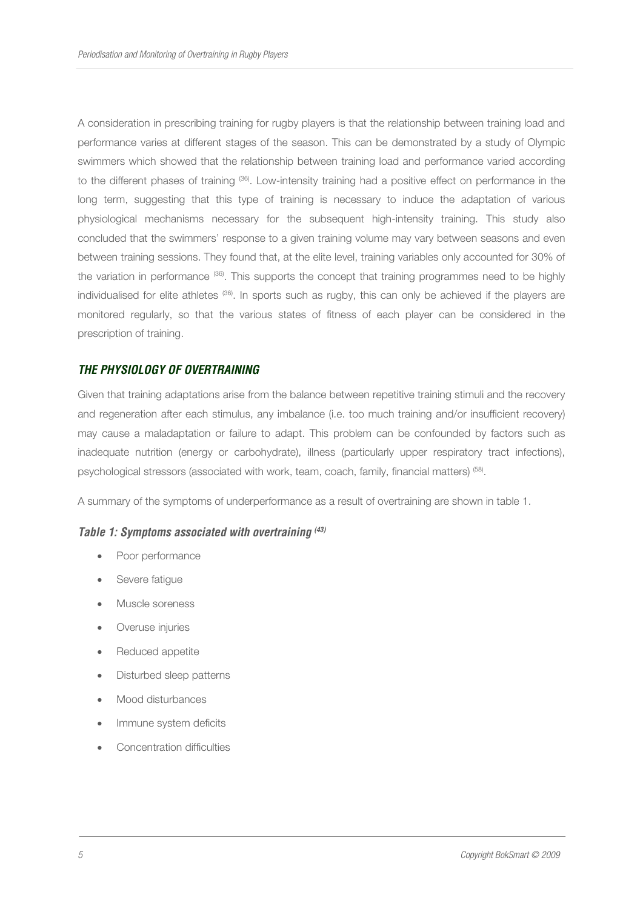A consideration in prescribing training for rugby players is that the relationship between training load and performance varies at different stages of the season. This can be demonstrated by a study of Olympic swimmers which showed that the relationship between training load and performance varied according to the different phases of training (36). Low-intensity training had a positive effect on performance in the long term, suggesting that this type of training is necessary to induce the adaptation of various physiological mechanisms necessary for the subsequent high-intensity training. This study also concluded that the swimmers' response to a given training volume may vary between seasons and even between training sessions. They found that, at the elite level, training variables only accounted for 30% of the variation in performance (36). This supports the concept that training programmes need to be highly individualised for elite athletes (36). In sports such as rugby, this can only be achieved if the players are monitored regularly, so that the various states of fitness of each player can be considered in the prescription of training.

# **THE PHYSIOLOGY OF OVERTRAINING**

Given that training adaptations arise from the balance between repetitive training stimuli and the recovery and regeneration after each stimulus, any imbalance (i.e. too much training and/or insufficient recovery) may cause a maladaptation or failure to adapt. This problem can be confounded by factors such as inadequate nutrition (energy or carbohydrate), illness (particularly upper respiratory tract infections), psychological stressors (associated with work, team, coach, family, financial matters)<sup> (58)</sup>.

A summary of the symptoms of underperformance as a result of overtraining are shown in table 1.

#### **Table 1: Symptoms associated with overtraining (43)**

- Poor performance
- Severe fatigue
- Muscle soreness
- Overuse injuries
- Reduced appetite
- Disturbed sleep patterns
- Mood disturbances
- Immune system deficits
- Concentration difficulties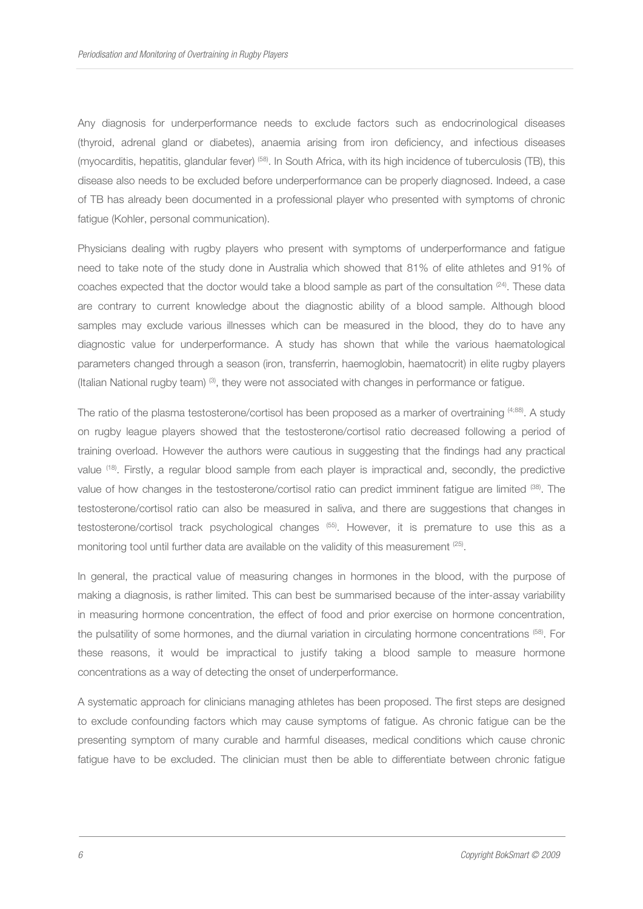Any diagnosis for underperformance needs to exclude factors such as endocrinological diseases (thyroid, adrenal gland or diabetes), anaemia arising from iron deficiency, and infectious diseases (myocarditis, hepatitis, glandular fever) (58). In South Africa, with its high incidence of tuberculosis (TB), this disease also needs to be excluded before underperformance can be properly diagnosed. Indeed, a case of TB has already been documented in a professional player who presented with symptoms of chronic fatigue (Kohler, personal communication).

Physicians dealing with rugby players who present with symptoms of underperformance and fatigue need to take note of the study done in Australia which showed that 81% of elite athletes and 91% of coaches expected that the doctor would take a blood sample as part of the consultation  $(24)$ . These data are contrary to current knowledge about the diagnostic ability of a blood sample. Although blood samples may exclude various illnesses which can be measured in the blood, they do to have any diagnostic value for underperformance. A study has shown that while the various haematological parameters changed through a season (iron, transferrin, haemoglobin, haematocrit) in elite rugby players (Italian National rugby team)  $(3)$ , they were not associated with changes in performance or fatigue.

The ratio of the plasma testosterone/cortisol has been proposed as a marker of overtraining (4;88). A study on rugby league players showed that the testosterone/cortisol ratio decreased following a period of training overload. However the authors were cautious in suggesting that the findings had any practical value (18). Firstly, a regular blood sample from each player is impractical and, secondly, the predictive value of how changes in the testosterone/cortisol ratio can predict imminent fatigue are limited (38). The testosterone/cortisol ratio can also be measured in saliva, and there are suggestions that changes in testosterone/cortisol track psychological changes (55). However, it is premature to use this as a monitoring tool until further data are available on the validity of this measurement  $(25)$ .

In general, the practical value of measuring changes in hormones in the blood, with the purpose of making a diagnosis, is rather limited. This can best be summarised because of the inter-assay variability in measuring hormone concentration, the effect of food and prior exercise on hormone concentration, the pulsatility of some hormones, and the diurnal variation in circulating hormone concentrations (58). For these reasons, it would be impractical to justify taking a blood sample to measure hormone concentrations as a way of detecting the onset of underperformance.

A systematic approach for clinicians managing athletes has been proposed. The first steps are designed to exclude confounding factors which may cause symptoms of fatigue. As chronic fatigue can be the presenting symptom of many curable and harmful diseases, medical conditions which cause chronic fatigue have to be excluded. The clinician must then be able to differentiate between chronic fatigue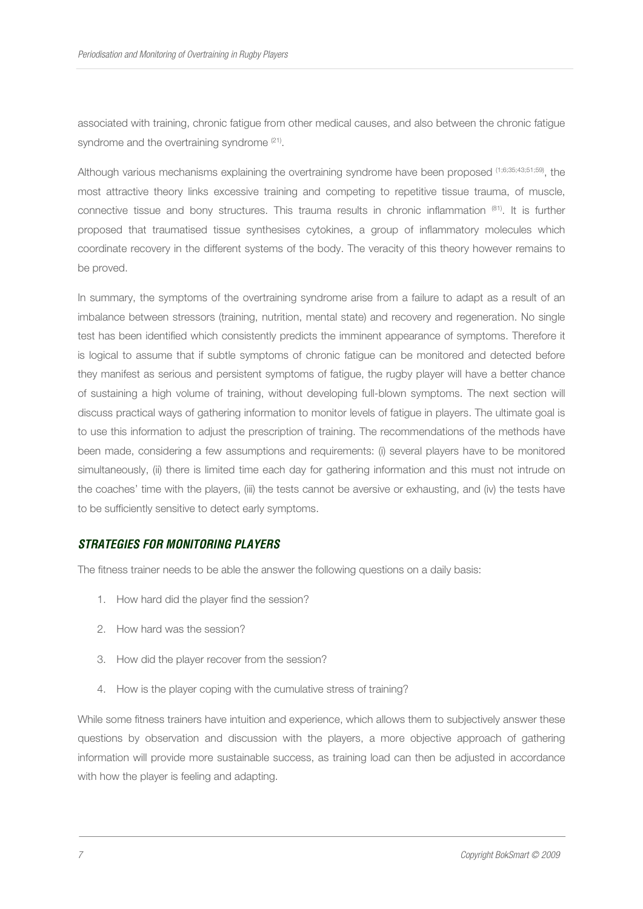associated with training, chronic fatigue from other medical causes, and also between the chronic fatigue syndrome and the overtraining syndrome <sup>(21)</sup>.

Although various mechanisms explaining the overtraining syndrome have been proposed (1;6;35;43;51;59), the most attractive theory links excessive training and competing to repetitive tissue trauma, of muscle, connective tissue and bony structures. This trauma results in chronic inflammation (81). It is further proposed that traumatised tissue synthesises cytokines, a group of inflammatory molecules which coordinate recovery in the different systems of the body. The veracity of this theory however remains to be proved.

In summary, the symptoms of the overtraining syndrome arise from a failure to adapt as a result of an imbalance between stressors (training, nutrition, mental state) and recovery and regeneration. No single test has been identified which consistently predicts the imminent appearance of symptoms. Therefore it is logical to assume that if subtle symptoms of chronic fatigue can be monitored and detected before they manifest as serious and persistent symptoms of fatigue, the rugby player will have a better chance of sustaining a high volume of training, without developing full-blown symptoms. The next section will discuss practical ways of gathering information to monitor levels of fatigue in players. The ultimate goal is to use this information to adjust the prescription of training. The recommendations of the methods have been made, considering a few assumptions and requirements: (i) several players have to be monitored simultaneously, (ii) there is limited time each day for gathering information and this must not intrude on the coaches' time with the players, (iii) the tests cannot be aversive or exhausting, and (iv) the tests have to be sufficiently sensitive to detect early symptoms.

#### **STRATEGIES FOR MONITORING PLAYERS**

The fitness trainer needs to be able the answer the following questions on a daily basis:

- 1. How hard did the player find the session?
- 2. How hard was the session?
- 3. How did the player recover from the session?
- 4. How is the player coping with the cumulative stress of training?

While some fitness trainers have intuition and experience, which allows them to subjectively answer these questions by observation and discussion with the players, a more objective approach of gathering information will provide more sustainable success, as training load can then be adjusted in accordance with how the player is feeling and adapting.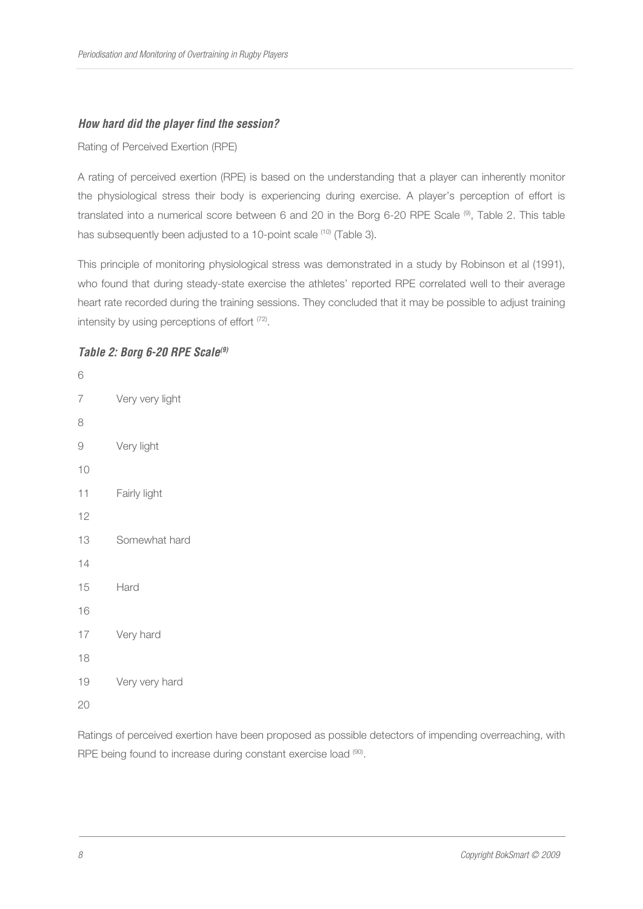# **How hard did the player find the session?**

Rating of Perceived Exertion (RPE)

A rating of perceived exertion (RPE) is based on the understanding that a player can inherently monitor the physiological stress their body is experiencing during exercise. A player's perception of effort is translated into a numerical score between 6 and 20 in the Borg 6-20 RPE Scale (<sup>9)</sup>, Table 2. This table has subsequently been adjusted to a 10-point scale <sup>(10)</sup> (Table 3).

This principle of monitoring physiological stress was demonstrated in a study by Robinson et al (1991), who found that during steady-state exercise the athletes' reported RPE correlated well to their average heart rate recorded during the training sessions. They concluded that it may be possible to adjust training intensity by using perceptions of effort <sup>(72)</sup>.

# **Table 2: Borg 6-20 RPE Scale(9)**

6 7 Very very light 8 9 Very light 10 11 Fairly light 12 13 Somewhat hard 14 15 Hard 16 17 Very hard 18 19 Very very hard 20

Ratings of perceived exertion have been proposed as possible detectors of impending overreaching, with RPE being found to increase during constant exercise load (90).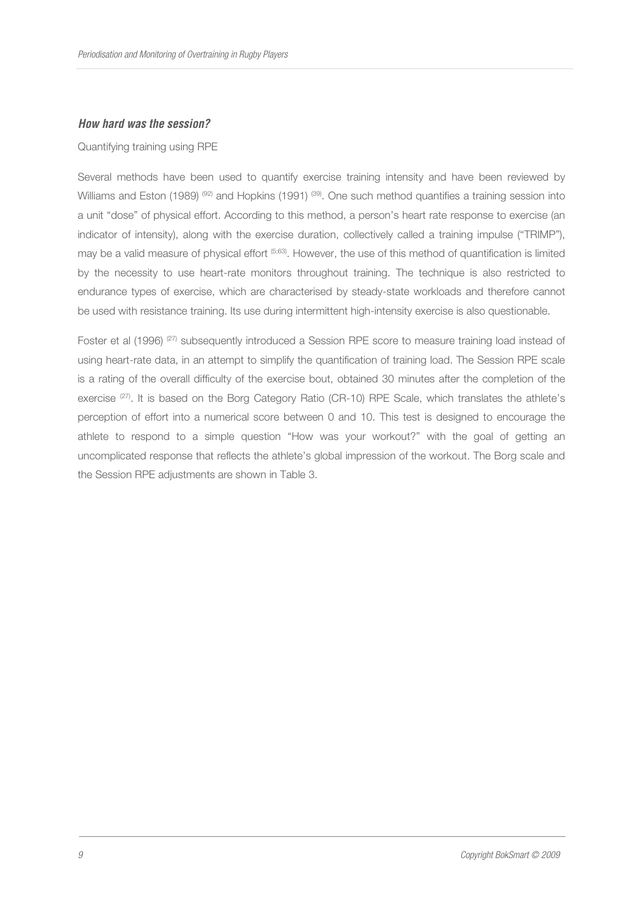#### **How hard was the session?**

#### Quantifying training using RPE

Several methods have been used to quantify exercise training intensity and have been reviewed by Williams and Eston (1989) <sup>(92)</sup> and Hopkins (1991) <sup>(39)</sup>. One such method quantifies a training session into a unit "dose" of physical effort. According to this method, a person's heart rate response to exercise (an indicator of intensity), along with the exercise duration, collectively called a training impulse ("TRIMP"), may be a valid measure of physical effort (5;63). However, the use of this method of quantification is limited by the necessity to use heart-rate monitors throughout training. The technique is also restricted to endurance types of exercise, which are characterised by steady-state workloads and therefore cannot be used with resistance training. Its use during intermittent high-intensity exercise is also questionable.

Foster et al (1996) <sup>(27)</sup> subsequently introduced a Session RPE score to measure training load instead of using heart-rate data, in an attempt to simplify the quantification of training load. The Session RPE scale is a rating of the overall difficulty of the exercise bout, obtained 30 minutes after the completion of the exercise <sup>(27)</sup>. It is based on the Borg Category Ratio (CR-10) RPE Scale, which translates the athlete's perception of effort into a numerical score between 0 and 10. This test is designed to encourage the athlete to respond to a simple question "How was your workout?" with the goal of getting an uncomplicated response that reflects the athlete's global impression of the workout. The Borg scale and the Session RPE adjustments are shown in Table 3.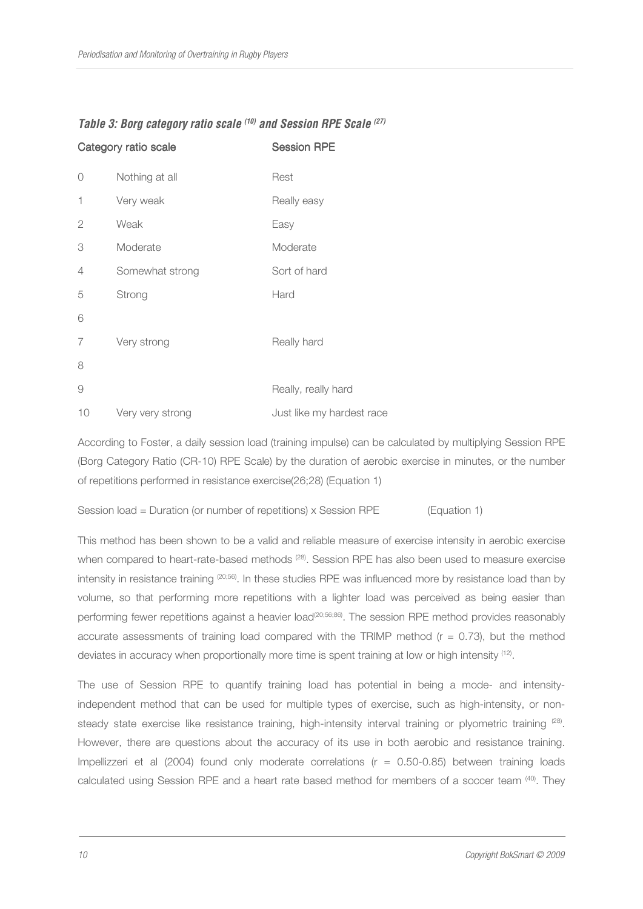|          | Category ratio scale | <b>Session RPE</b>        |
|----------|----------------------|---------------------------|
| 0        | Nothing at all       | Rest                      |
| 1        | Very weak            | Really easy               |
| 2        | Weak                 | Easy                      |
| 3        | Moderate             | Moderate                  |
| 4        | Somewhat strong      | Sort of hard              |
| 5        | Strong               | Hard                      |
| 6        |                      |                           |
| 7        | Very strong          | Really hard               |
| 8        |                      |                           |
| $\Theta$ |                      | Really, really hard       |
| 10       | Very very strong     | Just like my hardest race |

# **Table 3: Borg category ratio scale (10) and Session RPE Scale (27)**

According to Foster, a daily session load (training impulse) can be calculated by multiplying Session RPE (Borg Category Ratio (CR-10) RPE Scale) by the duration of aerobic exercise in minutes, or the number of repetitions performed in resistance exercise(26;28) (Equation 1)

Session load = Duration (or number of repetitions) x Session RPE (Equation 1)

This method has been shown to be a valid and reliable measure of exercise intensity in aerobic exercise when compared to heart-rate-based methods <sup>(28)</sup>. Session RPE has also been used to measure exercise intensity in resistance training (20;56). In these studies RPE was influenced more by resistance load than by volume, so that performing more repetitions with a lighter load was perceived as being easier than performing fewer repetitions against a heavier load<sup>(20;56;86)</sup>. The session RPE method provides reasonably accurate assessments of training load compared with the TRIMP method  $(r = 0.73)$ , but the method deviates in accuracy when proportionally more time is spent training at low or high intensity <sup>(12)</sup>.

The use of Session RPE to quantify training load has potential in being a mode- and intensityindependent method that can be used for multiple types of exercise, such as high-intensity, or nonsteady state exercise like resistance training, high-intensity interval training or plyometric training <sup>(28)</sup>. However, there are questions about the accuracy of its use in both aerobic and resistance training. Impellizzeri et al (2004) found only moderate correlations (r = 0.50-0.85) between training loads calculated using Session RPE and a heart rate based method for members of a soccer team (40). They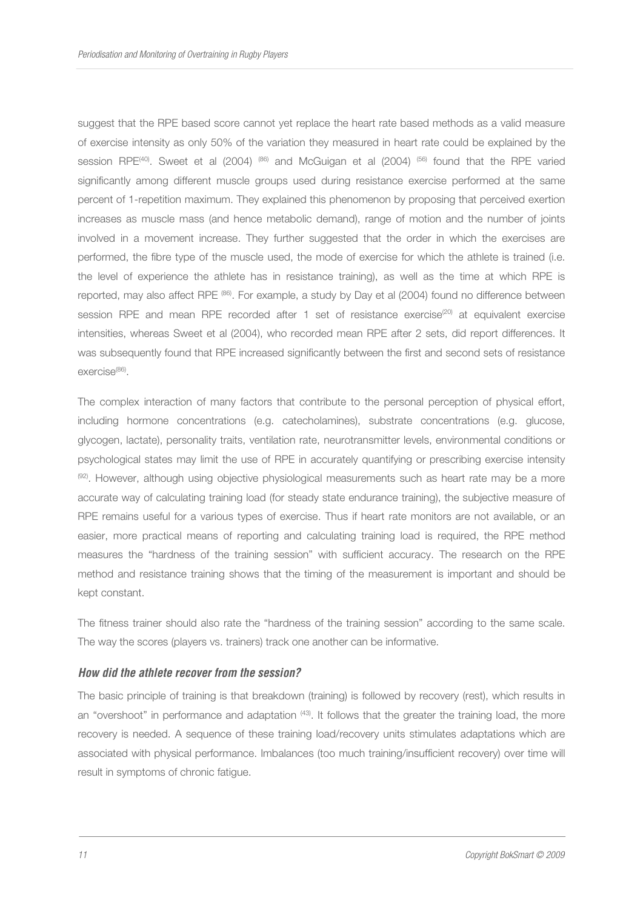suggest that the RPE based score cannot yet replace the heart rate based methods as a valid measure of exercise intensity as only 50% of the variation they measured in heart rate could be explained by the session RPE<sup>(40)</sup>. Sweet et al (2004) <sup>(86)</sup> and McGuigan et al (2004) <sup>(56)</sup> found that the RPE varied significantly among different muscle groups used during resistance exercise performed at the same percent of 1-repetition maximum. They explained this phenomenon by proposing that perceived exertion increases as muscle mass (and hence metabolic demand), range of motion and the number of joints involved in a movement increase. They further suggested that the order in which the exercises are performed, the fibre type of the muscle used, the mode of exercise for which the athlete is trained (i.e. the level of experience the athlete has in resistance training), as well as the time at which RPE is reported, may also affect RPE (86). For example, a study by Day et al (2004) found no difference between session RPE and mean RPE recorded after 1 set of resistance exercise<sup>(20)</sup> at equivalent exercise intensities, whereas Sweet et al (2004), who recorded mean RPE after 2 sets, did report differences. It was subsequently found that RPE increased significantly between the first and second sets of resistance exercise<sup>(86)</sup>.

The complex interaction of many factors that contribute to the personal perception of physical effort, including hormone concentrations (e.g. catecholamines), substrate concentrations (e.g. glucose, glycogen, lactate), personality traits, ventilation rate, neurotransmitter levels, environmental conditions or psychological states may limit the use of RPE in accurately quantifying or prescribing exercise intensity (92). However, although using objective physiological measurements such as heart rate may be a more accurate way of calculating training load (for steady state endurance training), the subjective measure of RPE remains useful for a various types of exercise. Thus if heart rate monitors are not available, or an easier, more practical means of reporting and calculating training load is required, the RPE method measures the "hardness of the training session" with sufficient accuracy. The research on the RPE method and resistance training shows that the timing of the measurement is important and should be kept constant.

The fitness trainer should also rate the "hardness of the training session" according to the same scale. The way the scores (players vs. trainers) track one another can be informative.

#### **How did the athlete recover from the session?**

The basic principle of training is that breakdown (training) is followed by recovery (rest), which results in an "overshoot" in performance and adaptation (43). It follows that the greater the training load, the more recovery is needed. A sequence of these training load/recovery units stimulates adaptations which are associated with physical performance. Imbalances (too much training/insufficient recovery) over time will result in symptoms of chronic fatigue.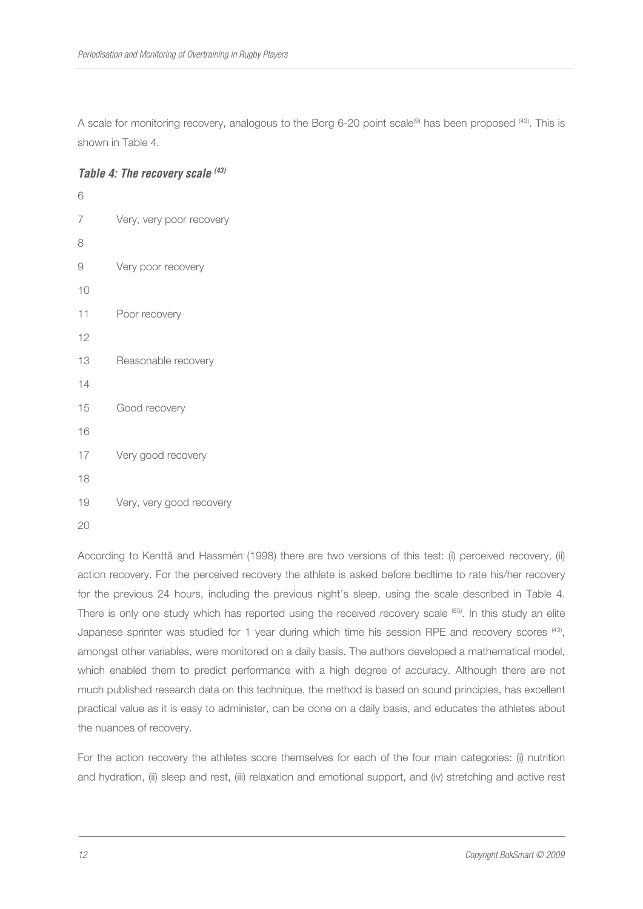A scale for monitoring recovery, analogous to the Borg 6-20 point scale<sup>(9)</sup> has been proposed <sup>(43)</sup>. This is shown in Table 4.

#### **Table 4: The recovery scale (43)**

| 6  |                          |
|----|--------------------------|
| 7  | Very, very poor recovery |
| 8  |                          |
| 9  | Very poor recovery       |
| 10 |                          |
| 11 | Poor recovery            |
| 12 |                          |
| 13 | Reasonable recovery      |
| 14 |                          |
| 15 | Good recovery            |
| 16 |                          |
| 17 | Very good recovery       |
| 18 |                          |
| 19 | Very, very good recovery |
| 20 |                          |

According to Kenttä and Hassmén (1998) there are two versions of this test: (i) perceived recovery, (ii) action recovery. For the perceived recovery the athlete is asked before bedtime to rate his/her recovery for the previous 24 hours, including the previous night's sleep, using the scale described in Table 4. There is only one study which has reported using the received recovery scale (85). In this study an elite Japanese sprinter was studied for 1 year during which time his session RPE and recovery scores  $^{(43)}$ , amongst other variables, were monitored on a daily basis. The authors developed a mathematical model, which enabled them to predict performance with a high degree of accuracy. Although there are not much published research data on this technique, the method is based on sound principles, has excellent practical value as it is easy to administer, can be done on a daily basis, and educates the athletes about the nuances of recovery.

For the action recovery the athletes score themselves for each of the four main categories: (i) nutrition and hydration, (ii) sleep and rest, (iii) relaxation and emotional support, and (iv) stretching and active rest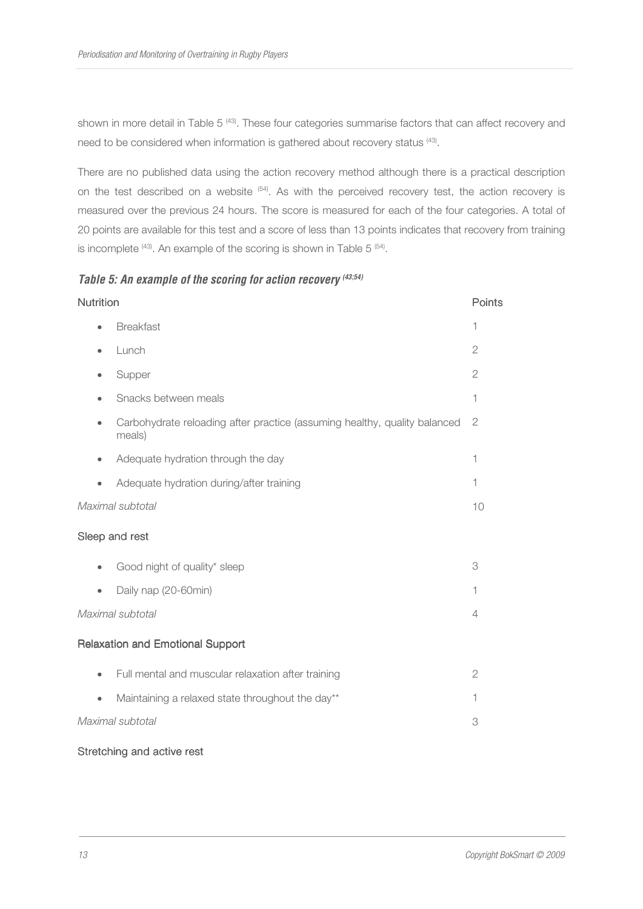shown in more detail in Table 5<sup>(43)</sup>. These four categories summarise factors that can affect recovery and need to be considered when information is gathered about recovery status <sup>(43)</sup>.

There are no published data using the action recovery method although there is a practical description on the test described on a website (54). As with the perceived recovery test, the action recovery is measured over the previous 24 hours. The score is measured for each of the four categories. A total of 20 points are available for this test and a score of less than 13 points indicates that recovery from training is incomplete  $(43)$ . An example of the scoring is shown in Table 5  $(54)$ .

# **Table 5: An example of the scoring for action recovery (43;54)**

| <b>Nutrition</b> |                                                                                     | Points         |
|------------------|-------------------------------------------------------------------------------------|----------------|
|                  | <b>Breakfast</b>                                                                    | 1              |
| ٠                | Lunch                                                                               | $\overline{2}$ |
| ٠                | Supper                                                                              | $\overline{2}$ |
|                  | Snacks between meals                                                                | 1              |
| ۰                | Carbohydrate reloading after practice (assuming healthy, quality balanced<br>meals) | $\mathbf{2}$   |
|                  | Adequate hydration through the day                                                  | 1              |
|                  | Adequate hydration during/after training                                            | 1              |
| Maximal subtotal |                                                                                     | 10             |
|                  | Sleep and rest                                                                      |                |
| $\bullet$        | Good night of quality* sleep                                                        | 3              |
|                  | Daily nap (20-60min)                                                                | 1              |
| Maximal subtotal |                                                                                     | 4              |
|                  | <b>Relaxation and Emotional Support</b>                                             |                |
| $\bullet$        | Full mental and muscular relaxation after training                                  | $\mathbf{2}$   |
| $\bullet$        | Maintaining a relaxed state throughout the day**                                    | 1              |
|                  | Maximal subtotal                                                                    | 3              |
|                  |                                                                                     |                |

#### Stretching and active rest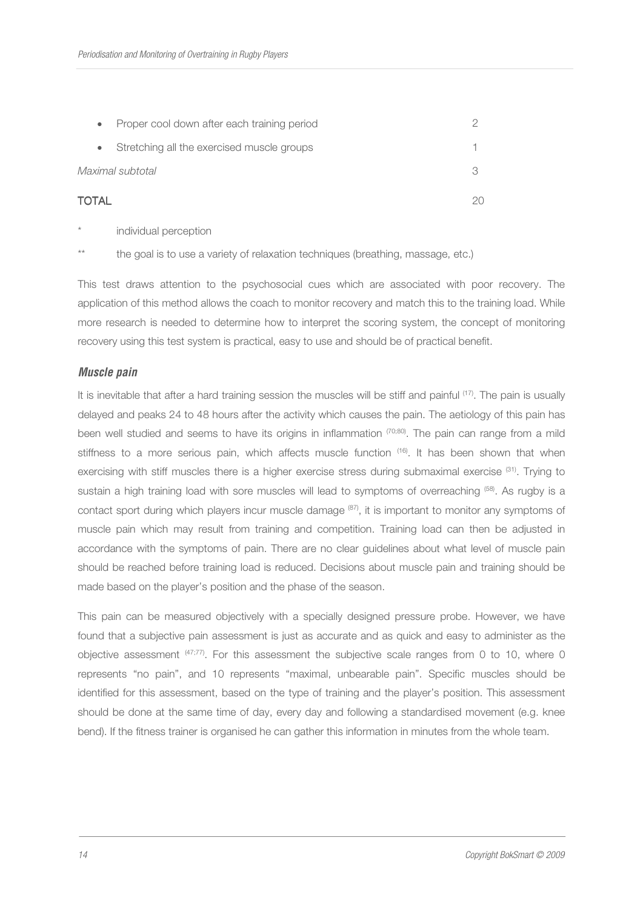|       | $\bullet$ | Proper cool down after each training period |  |
|-------|-----------|---------------------------------------------|--|
|       | $\bullet$ | Stretching all the exercised muscle groups  |  |
|       |           | Maximal subtotal                            |  |
| TOTAL |           |                                             |  |

individual perception

\*\* the goal is to use a variety of relaxation techniques (breathing, massage, etc.)

This test draws attention to the psychosocial cues which are associated with poor recovery. The application of this method allows the coach to monitor recovery and match this to the training load. While more research is needed to determine how to interpret the scoring system, the concept of monitoring recovery using this test system is practical, easy to use and should be of practical benefit.

#### **Muscle pain**

It is inevitable that after a hard training session the muscles will be stiff and painful <sup>(17)</sup>. The pain is usually delayed and peaks 24 to 48 hours after the activity which causes the pain. The aetiology of this pain has been well studied and seems to have its origins in inflammation  $(70,80)$ . The pain can range from a mild stiffness to a more serious pain, which affects muscle function <sup>(16)</sup>. It has been shown that when exercising with stiff muscles there is a higher exercise stress during submaximal exercise (31). Trying to sustain a high training load with sore muscles will lead to symptoms of overreaching <sup>(58)</sup>. As rugby is a contact sport during which players incur muscle damage (87), it is important to monitor any symptoms of muscle pain which may result from training and competition. Training load can then be adjusted in accordance with the symptoms of pain. There are no clear guidelines about what level of muscle pain should be reached before training load is reduced. Decisions about muscle pain and training should be made based on the player's position and the phase of the season.

This pain can be measured objectively with a specially designed pressure probe. However, we have found that a subjective pain assessment is just as accurate and as quick and easy to administer as the objective assessment (47;77). For this assessment the subjective scale ranges from 0 to 10, where 0 represents "no pain", and 10 represents "maximal, unbearable pain". Specific muscles should be identified for this assessment, based on the type of training and the player's position. This assessment should be done at the same time of day, every day and following a standardised movement (e.g. knee bend). If the fitness trainer is organised he can gather this information in minutes from the whole team.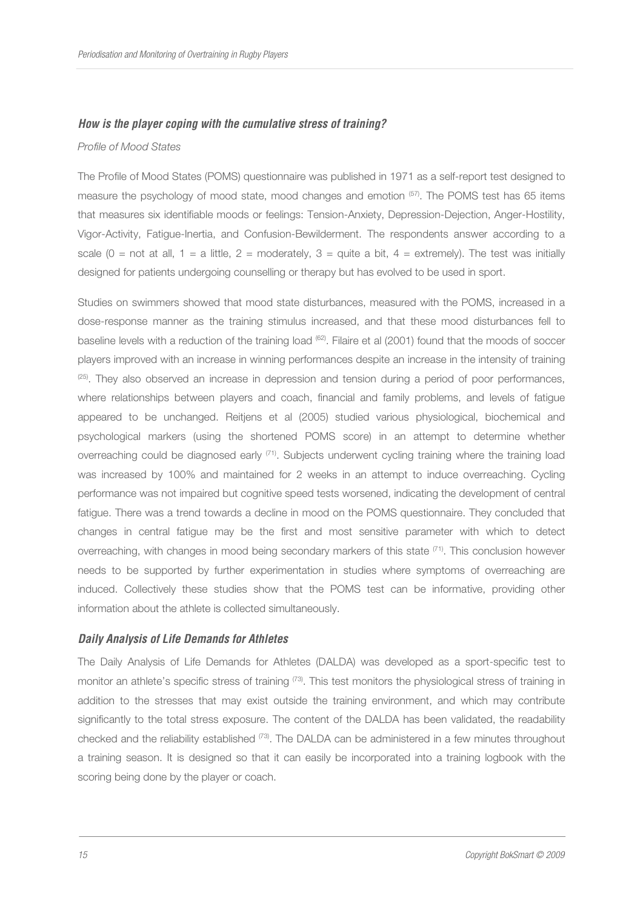#### **How is the player coping with the cumulative stress of training?**

#### Profile of Mood States

The Profile of Mood States (POMS) questionnaire was published in 1971 as a self-report test designed to measure the psychology of mood state, mood changes and emotion (57). The POMS test has 65 items that measures six identifiable moods or feelings: Tension-Anxiety, Depression-Dejection, Anger-Hostility, Vigor-Activity, Fatigue-Inertia, and Confusion-Bewilderment. The respondents answer according to a scale (0 = not at all, 1 = a little, 2 = moderately, 3 = quite a bit, 4 = extremely). The test was initially designed for patients undergoing counselling or therapy but has evolved to be used in sport.

Studies on swimmers showed that mood state disturbances, measured with the POMS, increased in a dose-response manner as the training stimulus increased, and that these mood disturbances fell to baseline levels with a reduction of the training load <sup>(62)</sup>. Filaire et al (2001) found that the moods of soccer players improved with an increase in winning performances despite an increase in the intensity of training  $^{(25)}$ . They also observed an increase in depression and tension during a period of poor performances, where relationships between players and coach, financial and family problems, and levels of fatigue appeared to be unchanged. Reitjens et al (2005) studied various physiological, biochemical and psychological markers (using the shortened POMS score) in an attempt to determine whether overreaching could be diagnosed early <sup>(71)</sup>. Subjects underwent cycling training where the training load was increased by 100% and maintained for 2 weeks in an attempt to induce overreaching. Cycling performance was not impaired but cognitive speed tests worsened, indicating the development of central fatigue. There was a trend towards a decline in mood on the POMS questionnaire. They concluded that changes in central fatigue may be the first and most sensitive parameter with which to detect overreaching, with changes in mood being secondary markers of this state (71). This conclusion however needs to be supported by further experimentation in studies where symptoms of overreaching are induced. Collectively these studies show that the POMS test can be informative, providing other information about the athlete is collected simultaneously.

#### **Daily Analysis of Life Demands for Athletes**

The Daily Analysis of Life Demands for Athletes (DALDA) was developed as a sport-specific test to monitor an athlete's specific stress of training <sup>(73)</sup>. This test monitors the physiological stress of training in addition to the stresses that may exist outside the training environment, and which may contribute significantly to the total stress exposure. The content of the DALDA has been validated, the readability checked and the reliability established (73). The DALDA can be administered in a few minutes throughout a training season. It is designed so that it can easily be incorporated into a training logbook with the scoring being done by the player or coach.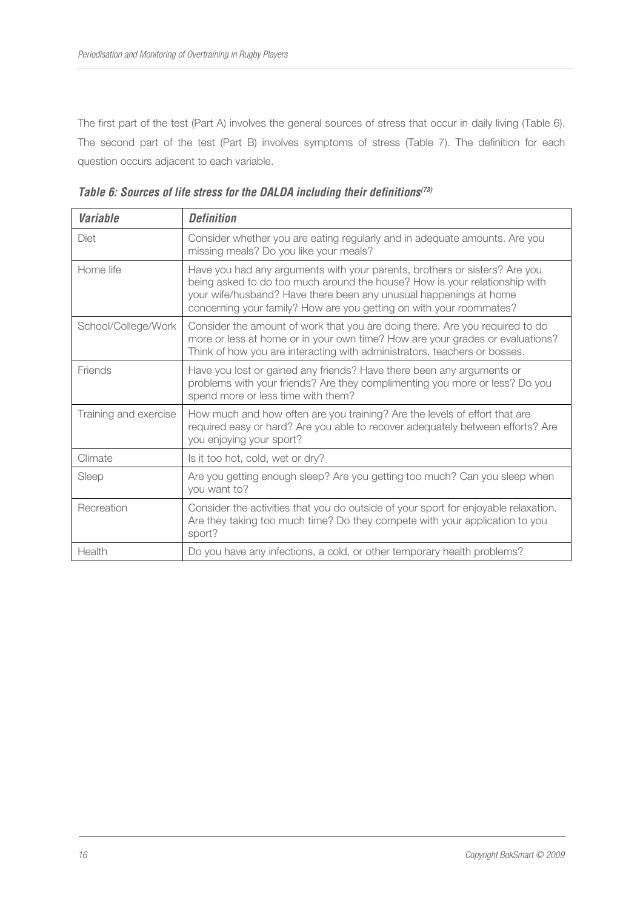The first part of the test (Part A) involves the general sources of stress that occur in daily living (Table 6). The second part of the test (Part B) involves symptoms of stress (Table 7). The definition for each question occurs adjacent to each variable.

| <b>Variable</b>       | <b>Definition</b>                                                                                                                                                                                                                                                                                    |
|-----------------------|------------------------------------------------------------------------------------------------------------------------------------------------------------------------------------------------------------------------------------------------------------------------------------------------------|
| Diet                  | Consider whether you are eating regularly and in adequate amounts. Are you<br>missing meals? Do you like your meals?                                                                                                                                                                                 |
| Home life             | Have you had any arguments with your parents, brothers or sisters? Are you<br>being asked to do too much around the house? How is your relationship with<br>your wife/husband? Have there been any unusual happenings at home<br>concerning your family? How are you getting on with your roommates? |
| School/College/Work   | Consider the amount of work that you are doing there. Are you required to do<br>more or less at home or in your own time? How are your grades or evaluations?<br>Think of how you are interacting with administrators, teachers or bosses.                                                           |
| Friends               | Have you lost or gained any friends? Have there been any arguments or<br>problems with your friends? Are they complimenting you more or less? Do you<br>spend more or less time with them?                                                                                                           |
| Training and exercise | How much and how often are you training? Are the levels of effort that are<br>required easy or hard? Are you able to recover adequately between efforts? Are<br>you enjoying your sport?                                                                                                             |
| Climate               | Is it too hot, cold, wet or dry?                                                                                                                                                                                                                                                                     |
| Sleep                 | Are you getting enough sleep? Are you getting too much? Can you sleep when<br>you want to?                                                                                                                                                                                                           |
| Recreation            | Consider the activities that you do outside of your sport for enjoyable relaxation.<br>Are they taking too much time? Do they compete with your application to you<br>sport?                                                                                                                         |
| Health                | Do you have any infections, a cold, or other temporary health problems?                                                                                                                                                                                                                              |

**Table 6: Sources of life stress for the DALDA including their definitions(73)**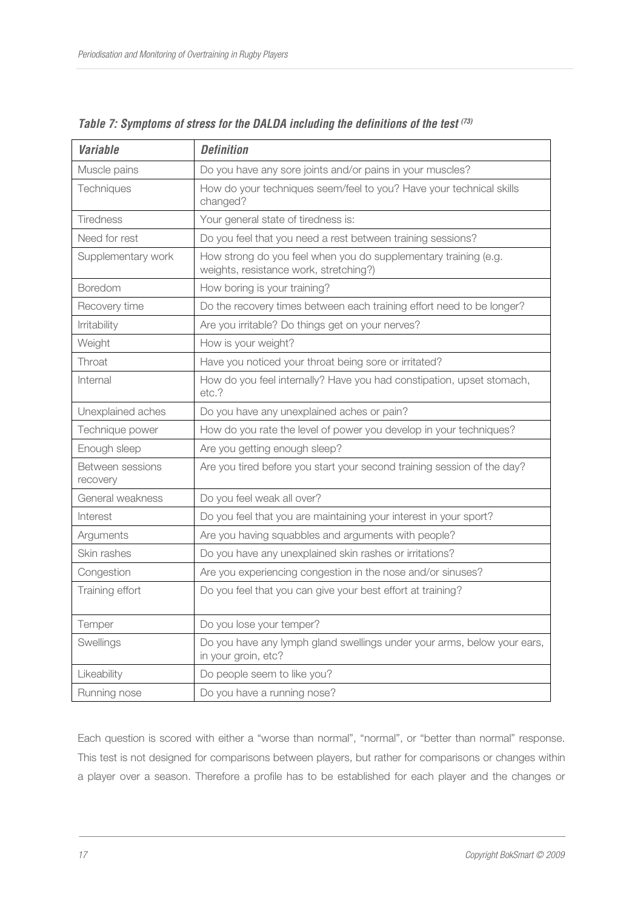| <i><b>Variable</b></i>       | <b>Definition</b>                                                                                         |  |  |
|------------------------------|-----------------------------------------------------------------------------------------------------------|--|--|
| Muscle pains                 | Do you have any sore joints and/or pains in your muscles?                                                 |  |  |
| Techniques                   | How do your techniques seem/feel to you? Have your technical skills<br>changed?                           |  |  |
| <b>Tiredness</b>             | Your general state of tiredness is:                                                                       |  |  |
| Need for rest                | Do you feel that you need a rest between training sessions?                                               |  |  |
| Supplementary work           | How strong do you feel when you do supplementary training (e.g.<br>weights, resistance work, stretching?) |  |  |
| Boredom                      | How boring is your training?                                                                              |  |  |
| Recovery time                | Do the recovery times between each training effort need to be longer?                                     |  |  |
| Irritability                 | Are you irritable? Do things get on your nerves?                                                          |  |  |
| Weight                       | How is your weight?                                                                                       |  |  |
| Throat                       | Have you noticed your throat being sore or irritated?                                                     |  |  |
| Internal                     | How do you feel internally? Have you had constipation, upset stomach,<br>etc.?                            |  |  |
| Unexplained aches            | Do you have any unexplained aches or pain?                                                                |  |  |
| Technique power              | How do you rate the level of power you develop in your techniques?                                        |  |  |
| Enough sleep                 | Are you getting enough sleep?                                                                             |  |  |
| Between sessions<br>recovery | Are you tired before you start your second training session of the day?                                   |  |  |
| General weakness             | Do you feel weak all over?                                                                                |  |  |
| Interest                     | Do you feel that you are maintaining your interest in your sport?                                         |  |  |
| Arguments                    | Are you having squabbles and arguments with people?                                                       |  |  |
| Skin rashes                  | Do you have any unexplained skin rashes or irritations?                                                   |  |  |
| Congestion                   | Are you experiencing congestion in the nose and/or sinuses?                                               |  |  |
| Training effort              | Do you feel that you can give your best effort at training?                                               |  |  |
| Temper                       | Do you lose your temper?                                                                                  |  |  |
| Swellings                    | Do you have any lymph gland swellings under your arms, below your ears,<br>in your groin, etc?            |  |  |
| Likeability                  | Do people seem to like you?                                                                               |  |  |
| Running nose                 | Do you have a running nose?                                                                               |  |  |

**Table 7: Symptoms of stress for the DALDA including the definitions of the test (73)**

Each question is scored with either a "worse than normal", "normal", or "better than normal" response. This test is not designed for comparisons between players, but rather for comparisons or changes within a player over a season. Therefore a profile has to be established for each player and the changes or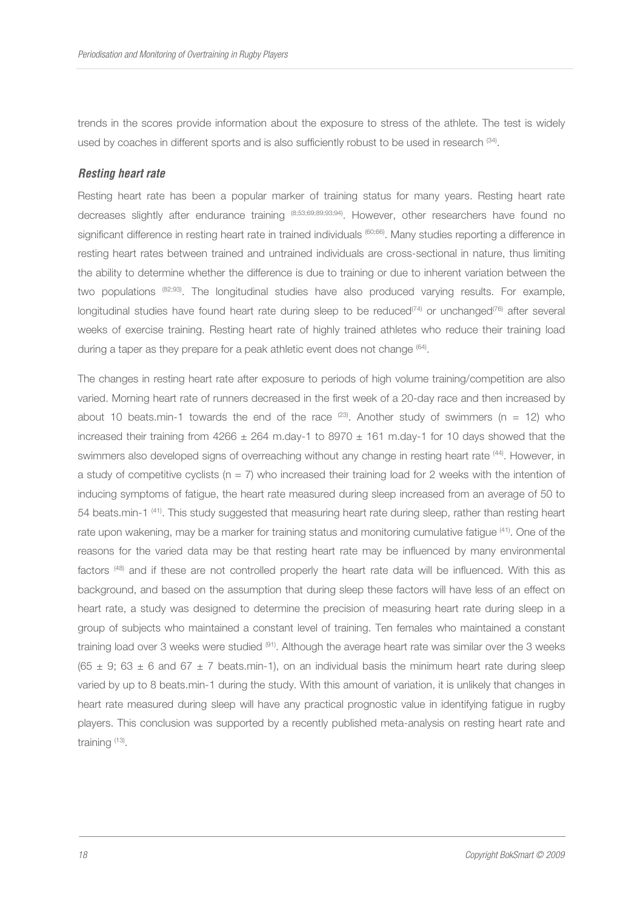trends in the scores provide information about the exposure to stress of the athlete. The test is widely used by coaches in different sports and is also sufficiently robust to be used in research  $(34)$ .

#### **Resting heart rate**

Resting heart rate has been a popular marker of training status for many years. Resting heart rate decreases slightly after endurance training (8;53;69;89;93;94). However, other researchers have found no significant difference in resting heart rate in trained individuals (60;66). Many studies reporting a difference in resting heart rates between trained and untrained individuals are cross-sectional in nature, thus limiting the ability to determine whether the difference is due to training or due to inherent variation between the two populations (82;93). The longitudinal studies have also produced varying results. For example, longitudinal studies have found heart rate during sleep to be reduced<sup>(74)</sup> or unchanged<sup>(76)</sup> after several weeks of exercise training. Resting heart rate of highly trained athletes who reduce their training load during a taper as they prepare for a peak athletic event does not change <sup>(64)</sup>.

The changes in resting heart rate after exposure to periods of high volume training/competition are also varied. Morning heart rate of runners decreased in the first week of a 20-day race and then increased by about 10 beats.min-1 towards the end of the race  $(23)$ . Another study of swimmers (n = 12) who increased their training from  $4266 \pm 264$  m.day-1 to  $8970 \pm 161$  m.day-1 for 10 days showed that the swimmers also developed signs of overreaching without any change in resting heart rate <sup>(44)</sup>. However, in a study of competitive cyclists ( $n = 7$ ) who increased their training load for 2 weeks with the intention of inducing symptoms of fatigue, the heart rate measured during sleep increased from an average of 50 to 54 beats.min-1 (41). This study suggested that measuring heart rate during sleep, rather than resting heart rate upon wakening, may be a marker for training status and monitoring cumulative fatigue <sup>(41)</sup>. One of the reasons for the varied data may be that resting heart rate may be influenced by many environmental factors (48) and if these are not controlled properly the heart rate data will be influenced. With this as background, and based on the assumption that during sleep these factors will have less of an effect on heart rate, a study was designed to determine the precision of measuring heart rate during sleep in a group of subjects who maintained a constant level of training. Ten females who maintained a constant training load over 3 weeks were studied (91). Although the average heart rate was similar over the 3 weeks  $(65 \pm 9; 63 \pm 6$  and  $67 \pm 7$  beats.min-1), on an individual basis the minimum heart rate during sleep varied by up to 8 beats.min-1 during the study. With this amount of variation, it is unlikely that changes in heart rate measured during sleep will have any practical prognostic value in identifying fatigue in rugby players. This conclusion was supported by a recently published meta-analysis on resting heart rate and training (13) .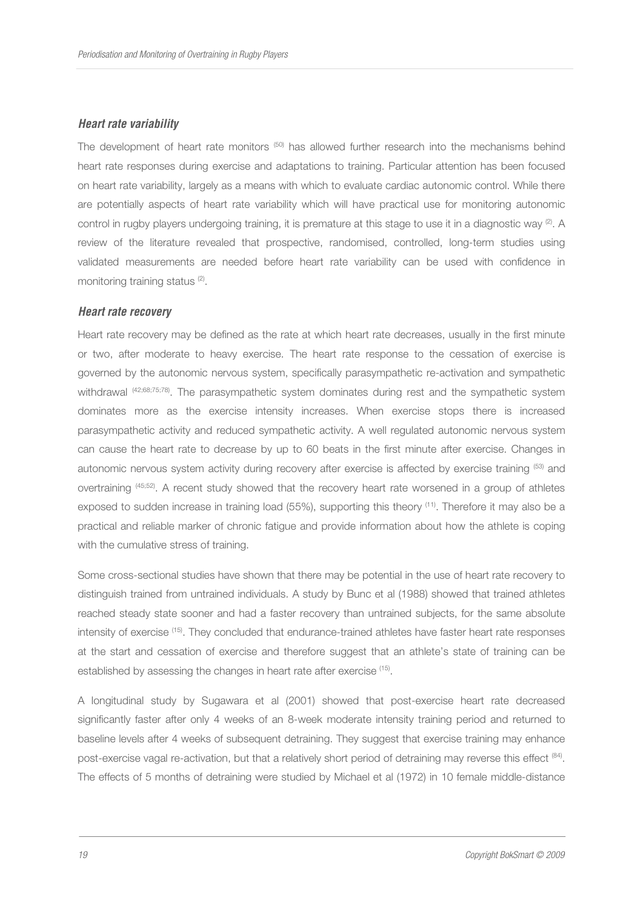#### **Heart rate variability**

The development of heart rate monitors  $(50)$  has allowed further research into the mechanisms behind heart rate responses during exercise and adaptations to training. Particular attention has been focused on heart rate variability, largely as a means with which to evaluate cardiac autonomic control. While there are potentially aspects of heart rate variability which will have practical use for monitoring autonomic control in rugby players undergoing training, it is premature at this stage to use it in a diagnostic way (2). A review of the literature revealed that prospective, randomised, controlled, long-term studies using validated measurements are needed before heart rate variability can be used with confidence in monitoring training status<sup>(2)</sup>.

#### **Heart rate recovery**

Heart rate recovery may be defined as the rate at which heart rate decreases, usually in the first minute or two, after moderate to heavy exercise. The heart rate response to the cessation of exercise is governed by the autonomic nervous system, specifically parasympathetic re-activation and sympathetic withdrawal (42;68;75;78). The parasympathetic system dominates during rest and the sympathetic system dominates more as the exercise intensity increases. When exercise stops there is increased parasympathetic activity and reduced sympathetic activity. A well regulated autonomic nervous system can cause the heart rate to decrease by up to 60 beats in the first minute after exercise. Changes in autonomic nervous system activity during recovery after exercise is affected by exercise training (53) and overtraining (45;52). A recent study showed that the recovery heart rate worsened in a group of athletes exposed to sudden increase in training load (55%), supporting this theory <sup>(11)</sup>. Therefore it may also be a practical and reliable marker of chronic fatigue and provide information about how the athlete is coping with the cumulative stress of training.

Some cross-sectional studies have shown that there may be potential in the use of heart rate recovery to distinguish trained from untrained individuals. A study by Bunc et al (1988) showed that trained athletes reached steady state sooner and had a faster recovery than untrained subjects, for the same absolute intensity of exercise <sup>(15)</sup>. They concluded that endurance-trained athletes have faster heart rate responses at the start and cessation of exercise and therefore suggest that an athlete's state of training can be established by assessing the changes in heart rate after exercise <sup>(15)</sup>.

A longitudinal study by Sugawara et al (2001) showed that post-exercise heart rate decreased significantly faster after only 4 weeks of an 8-week moderate intensity training period and returned to baseline levels after 4 weeks of subsequent detraining. They suggest that exercise training may enhance post-exercise vagal re-activation, but that a relatively short period of detraining may reverse this effect <sup>(84)</sup>. The effects of 5 months of detraining were studied by Michael et al (1972) in 10 female middle-distance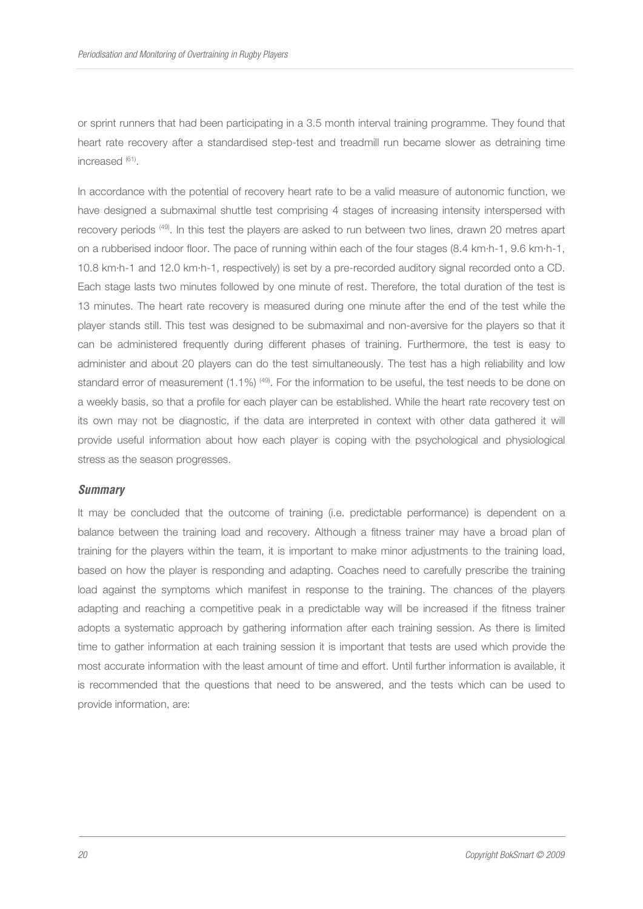or sprint runners that had been participating in a 3.5 month interval training programme. They found that heart rate recovery after a standardised step-test and treadmill run became slower as detraining time increased (61).

In accordance with the potential of recovery heart rate to be a valid measure of autonomic function, we have designed a submaximal shuttle test comprising 4 stages of increasing intensity interspersed with recovery periods (49). In this test the players are asked to run between two lines, drawn 20 metres apart on a rubberised indoor floor. The pace of running within each of the four stages (8.4 km·h-1, 9.6 km·h-1, 10.8 km·h-1 and 12.0 km·h-1, respectively) is set by a pre-recorded auditory signal recorded onto a CD. Each stage lasts two minutes followed by one minute of rest. Therefore, the total duration of the test is 13 minutes. The heart rate recovery is measured during one minute after the end of the test while the player stands still. This test was designed to be submaximal and non-aversive for the players so that it can be administered frequently during different phases of training. Furthermore, the test is easy to administer and about 20 players can do the test simultaneously. The test has a high reliability and low standard error of measurement  $(1.1\%)$  (49). For the information to be useful, the test needs to be done on a weekly basis, so that a profile for each player can be established. While the heart rate recovery test on its own may not be diagnostic, if the data are interpreted in context with other data gathered it will provide useful information about how each player is coping with the psychological and physiological stress as the season progresses.

#### **Summary**

It may be concluded that the outcome of training (i.e. predictable performance) is dependent on a balance between the training load and recovery. Although a fitness trainer may have a broad plan of training for the players within the team, it is important to make minor adjustments to the training load, based on how the player is responding and adapting. Coaches need to carefully prescribe the training load against the symptoms which manifest in response to the training. The chances of the players adapting and reaching a competitive peak in a predictable way will be increased if the fitness trainer adopts a systematic approach by gathering information after each training session. As there is limited time to gather information at each training session it is important that tests are used which provide the most accurate information with the least amount of time and effort. Until further information is available, it is recommended that the questions that need to be answered, and the tests which can be used to provide information, are: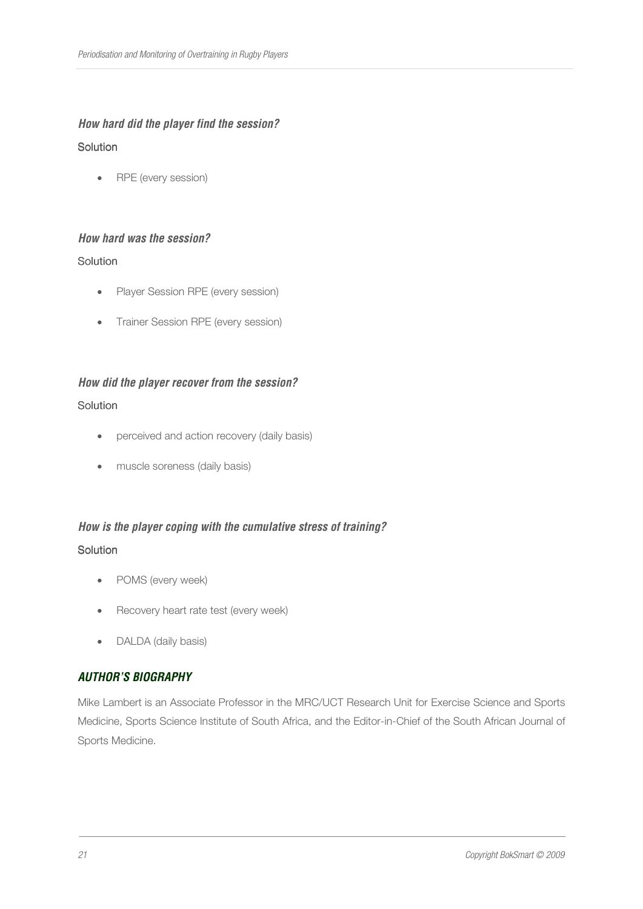# **How hard did the player find the session? Solution**

• RPE (every session)

# **How hard was the session?**

# **Solution**

- Player Session RPE (every session)
- Trainer Session RPE (every session)

# **How did the player recover from the session?**

# **Solution**

- perceived and action recovery (daily basis)
- muscle soreness (daily basis)

# **How is the player coping with the cumulative stress of training?**

# **Solution**

- POMS (every week)
- Recovery heart rate test (every week)
- DALDA (daily basis)

# **AUTHOR'S BIOGRAPHY**

Mike Lambert is an Associate Professor in the MRC/UCT Research Unit for Exercise Science and Sports Medicine, Sports Science Institute of South Africa, and the Editor-in-Chief of the South African Journal of Sports Medicine.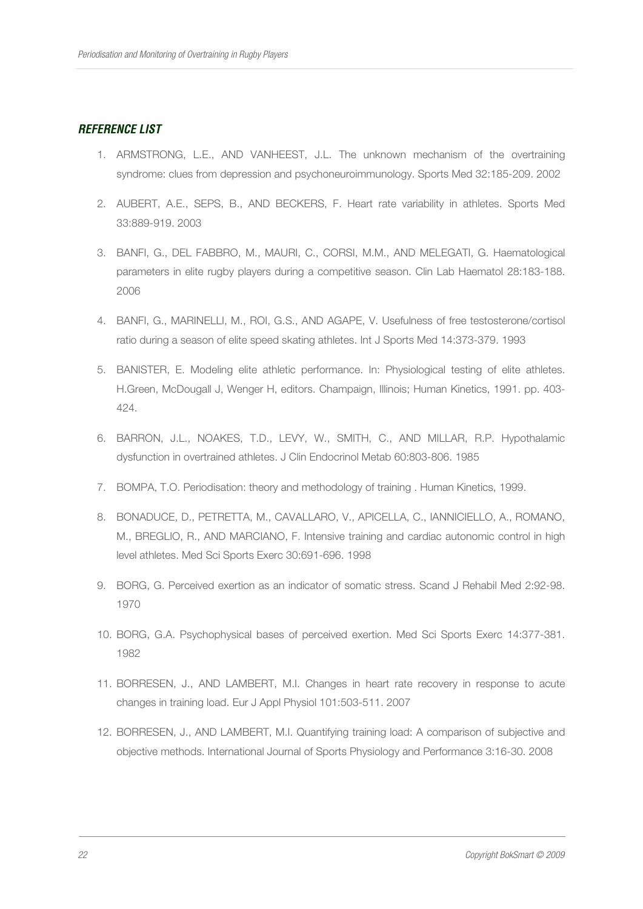# **REFERENCE LIST**

- 1. ARMSTRONG, L.E., AND VANHEEST, J.L. The unknown mechanism of the overtraining syndrome: clues from depression and psychoneuroimmunology. Sports Med 32:185-209. 2002
- 2. AUBERT, A.E., SEPS, B., AND BECKERS, F. Heart rate variability in athletes. Sports Med 33:889-919. 2003
- 3. BANFI, G., DEL FABBRO, M., MAURI, C., CORSI, M.M., AND MELEGATI, G. Haematological parameters in elite rugby players during a competitive season. Clin Lab Haematol 28:183-188. 2006
- 4. BANFI, G., MARINELLI, M., ROI, G.S., AND AGAPE, V. Usefulness of free testosterone/cortisol ratio during a season of elite speed skating athletes. Int J Sports Med 14:373-379. 1993
- 5. BANISTER, E. Modeling elite athletic performance. In: Physiological testing of elite athletes. H.Green, McDougall J, Wenger H, editors. Champaign, Illinois; Human Kinetics, 1991. pp. 403- 424.
- 6. BARRON, J.L., NOAKES, T.D., LEVY, W., SMITH, C., AND MILLAR, R.P. Hypothalamic dysfunction in overtrained athletes. J Clin Endocrinol Metab 60:803-806. 1985
- 7. BOMPA, T.O. Periodisation: theory and methodology of training . Human Kinetics, 1999.
- 8. BONADUCE, D., PETRETTA, M., CAVALLARO, V., APICELLA, C., IANNICIELLO, A., ROMANO, M., BREGLIO, R., AND MARCIANO, F. Intensive training and cardiac autonomic control in high level athletes. Med Sci Sports Exerc 30:691-696. 1998
- 9. BORG, G. Perceived exertion as an indicator of somatic stress. Scand J Rehabil Med 2:92-98. 1970
- 10. BORG, G.A. Psychophysical bases of perceived exertion. Med Sci Sports Exerc 14:377-381. 1982
- 11. BORRESEN, J., AND LAMBERT, M.I. Changes in heart rate recovery in response to acute changes in training load. Eur J Appl Physiol 101:503-511. 2007
- 12. BORRESEN, J., AND LAMBERT, M.I. Quantifying training load: A comparison of subjective and objective methods. International Journal of Sports Physiology and Performance 3:16-30. 2008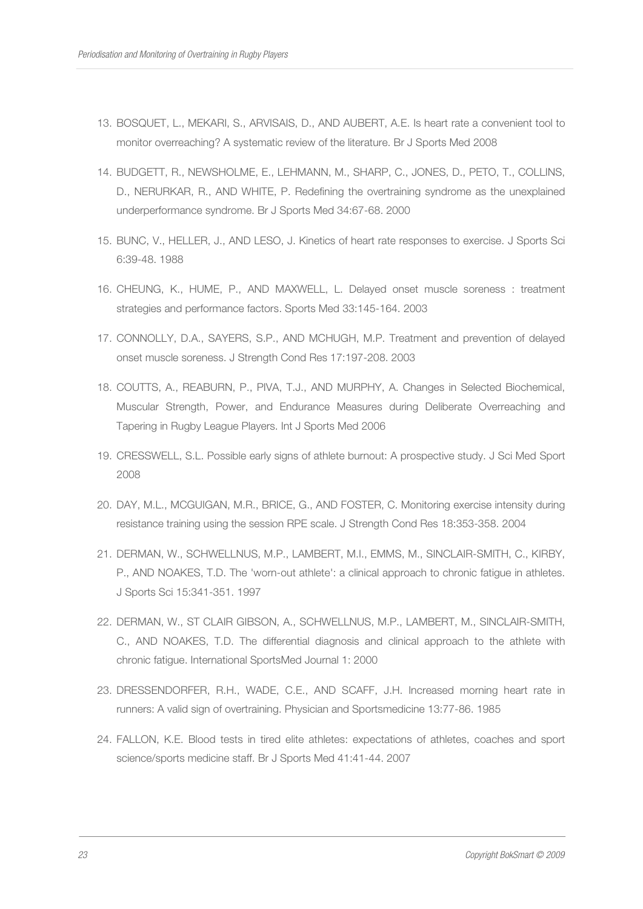- 13. BOSQUET, L., MEKARI, S., ARVISAIS, D., AND AUBERT, A.E. Is heart rate a convenient tool to monitor overreaching? A systematic review of the literature. Br J Sports Med 2008
- 14. BUDGETT, R., NEWSHOLME, E., LEHMANN, M., SHARP, C., JONES, D., PETO, T., COLLINS, D., NERURKAR, R., AND WHITE, P. Redefining the overtraining syndrome as the unexplained underperformance syndrome. Br J Sports Med 34:67-68. 2000
- 15. BUNC, V., HELLER, J., AND LESO, J. Kinetics of heart rate responses to exercise. J Sports Sci 6:39-48. 1988
- 16. CHEUNG, K., HUME, P., AND MAXWELL, L. Delayed onset muscle soreness : treatment strategies and performance factors. Sports Med 33:145-164. 2003
- 17. CONNOLLY, D.A., SAYERS, S.P., AND MCHUGH, M.P. Treatment and prevention of delayed onset muscle soreness. J Strength Cond Res 17:197-208. 2003
- 18. COUTTS, A., REABURN, P., PIVA, T.J., AND MURPHY, A. Changes in Selected Biochemical, Muscular Strength, Power, and Endurance Measures during Deliberate Overreaching and Tapering in Rugby League Players. Int J Sports Med 2006
- 19. CRESSWELL, S.L. Possible early signs of athlete burnout: A prospective study. J Sci Med Sport 2008
- 20. DAY, M.L., MCGUIGAN, M.R., BRICE, G., AND FOSTER, C. Monitoring exercise intensity during resistance training using the session RPE scale. J Strength Cond Res 18:353-358. 2004
- 21. DERMAN, W., SCHWELLNUS, M.P., LAMBERT, M.I., EMMS, M., SINCLAIR-SMITH, C., KIRBY, P., AND NOAKES, T.D. The 'worn-out athlete': a clinical approach to chronic fatigue in athletes. J Sports Sci 15:341-351. 1997
- 22. DERMAN, W., ST CLAIR GIBSON, A., SCHWELLNUS, M.P., LAMBERT, M., SINCLAIR-SMITH, C., AND NOAKES, T.D. The differential diagnosis and clinical approach to the athlete with chronic fatigue. International SportsMed Journal 1: 2000
- 23. DRESSENDORFER, R.H., WADE, C.E., AND SCAFF, J.H. Increased morning heart rate in runners: A valid sign of overtraining. Physician and Sportsmedicine 13:77-86. 1985
- 24. FALLON, K.E. Blood tests in tired elite athletes: expectations of athletes, coaches and sport science/sports medicine staff. Br J Sports Med 41:41-44. 2007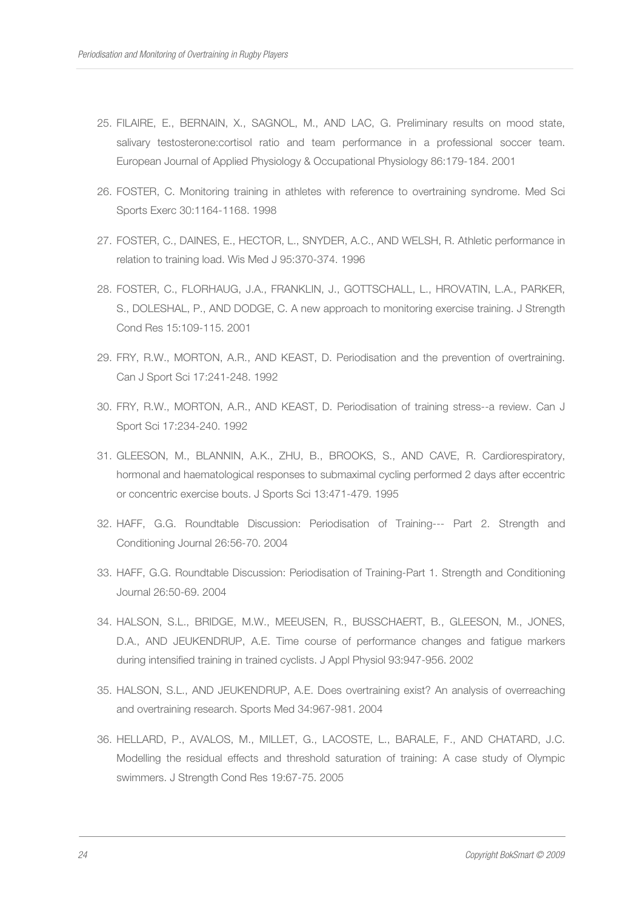- 25. FILAIRE, E., BERNAIN, X., SAGNOL, M., AND LAC, G. Preliminary results on mood state, salivary testosterone:cortisol ratio and team performance in a professional soccer team. European Journal of Applied Physiology & Occupational Physiology 86:179-184. 2001
- 26. FOSTER, C. Monitoring training in athletes with reference to overtraining syndrome. Med Sci Sports Exerc 30:1164-1168. 1998
- 27. FOSTER, C., DAINES, E., HECTOR, L., SNYDER, A.C., AND WELSH, R. Athletic performance in relation to training load. Wis Med J 95:370-374. 1996
- 28. FOSTER, C., FLORHAUG, J.A., FRANKLIN, J., GOTTSCHALL, L., HROVATIN, L.A., PARKER, S., DOLESHAL, P., AND DODGE, C. A new approach to monitoring exercise training. J Strength Cond Res 15:109-115. 2001
- 29. FRY, R.W., MORTON, A.R., AND KEAST, D. Periodisation and the prevention of overtraining. Can J Sport Sci 17:241-248. 1992
- 30. FRY, R.W., MORTON, A.R., AND KEAST, D. Periodisation of training stress--a review. Can J Sport Sci 17:234-240. 1992
- 31. GLEESON, M., BLANNIN, A.K., ZHU, B., BROOKS, S., AND CAVE, R. Cardiorespiratory, hormonal and haematological responses to submaximal cycling performed 2 days after eccentric or concentric exercise bouts. J Sports Sci 13:471-479. 1995
- 32. HAFF, G.G. Roundtable Discussion: Periodisation of Training--- Part 2. Strength and Conditioning Journal 26:56-70. 2004
- 33. HAFF, G.G. Roundtable Discussion: Periodisation of Training-Part 1. Strength and Conditioning Journal 26:50-69. 2004
- 34. HALSON, S.L., BRIDGE, M.W., MEEUSEN, R., BUSSCHAERT, B., GLEESON, M., JONES, D.A., AND JEUKENDRUP, A.E. Time course of performance changes and fatigue markers during intensified training in trained cyclists. J Appl Physiol 93:947-956. 2002
- 35. HALSON, S.L., AND JEUKENDRUP, A.E. Does overtraining exist? An analysis of overreaching and overtraining research. Sports Med 34:967-981. 2004
- 36. HELLARD, P., AVALOS, M., MILLET, G., LACOSTE, L., BARALE, F., AND CHATARD, J.C. Modelling the residual effects and threshold saturation of training: A case study of Olympic swimmers. J Strength Cond Res 19:67-75. 2005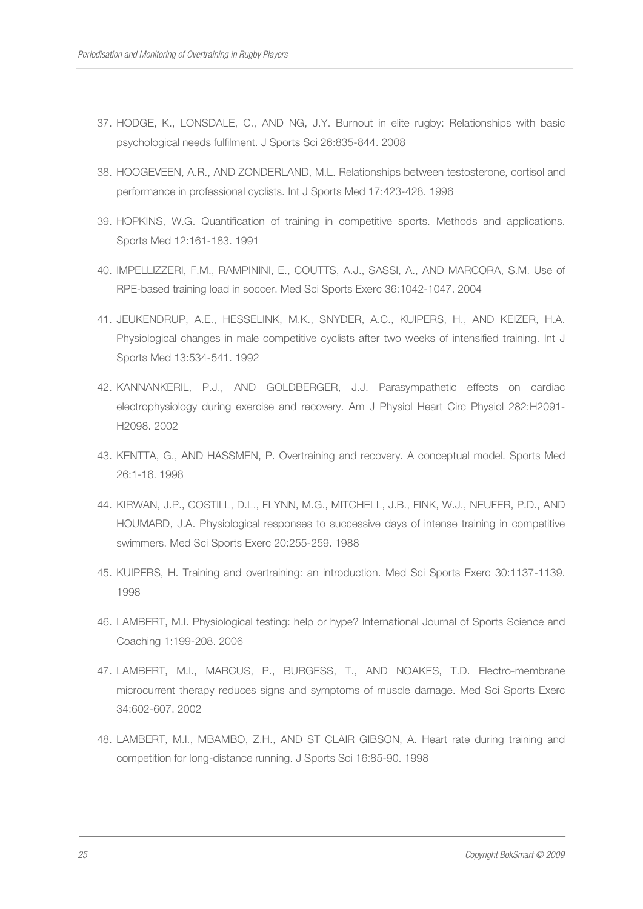- 37. HODGE, K., LONSDALE, C., AND NG, J.Y. Burnout in elite rugby: Relationships with basic psychological needs fulfilment. J Sports Sci 26:835-844. 2008
- 38. HOOGEVEEN, A.R., AND ZONDERLAND, M.L. Relationships between testosterone, cortisol and performance in professional cyclists. Int J Sports Med 17:423-428. 1996
- 39. HOPKINS, W.G. Quantification of training in competitive sports. Methods and applications. Sports Med 12:161-183. 1991
- 40. IMPELLIZZERI, F.M., RAMPININI, E., COUTTS, A.J., SASSI, A., AND MARCORA, S.M. Use of RPE-based training load in soccer. Med Sci Sports Exerc 36:1042-1047. 2004
- 41. JEUKENDRUP, A.E., HESSELINK, M.K., SNYDER, A.C., KUIPERS, H., AND KEIZER, H.A. Physiological changes in male competitive cyclists after two weeks of intensified training. Int J Sports Med 13:534-541. 1992
- 42. KANNANKERIL, P.J., AND GOLDBERGER, J.J. Parasympathetic effects on cardiac electrophysiology during exercise and recovery. Am J Physiol Heart Circ Physiol 282:H2091- H2098. 2002
- 43. KENTTA, G., AND HASSMEN, P. Overtraining and recovery. A conceptual model. Sports Med 26:1-16. 1998
- 44. KIRWAN, J.P., COSTILL, D.L., FLYNN, M.G., MITCHELL, J.B., FINK, W.J., NEUFER, P.D., AND HOUMARD, J.A. Physiological responses to successive days of intense training in competitive swimmers. Med Sci Sports Exerc 20:255-259. 1988
- 45. KUIPERS, H. Training and overtraining: an introduction. Med Sci Sports Exerc 30:1137-1139. 1998
- 46. LAMBERT, M.I. Physiological testing: help or hype? International Journal of Sports Science and Coaching 1:199-208. 2006
- 47. LAMBERT, M.I., MARCUS, P., BURGESS, T., AND NOAKES, T.D. Electro-membrane microcurrent therapy reduces signs and symptoms of muscle damage. Med Sci Sports Exerc 34:602-607. 2002
- 48. LAMBERT, M.I., MBAMBO, Z.H., AND ST CLAIR GIBSON, A. Heart rate during training and competition for long-distance running. J Sports Sci 16:85-90. 1998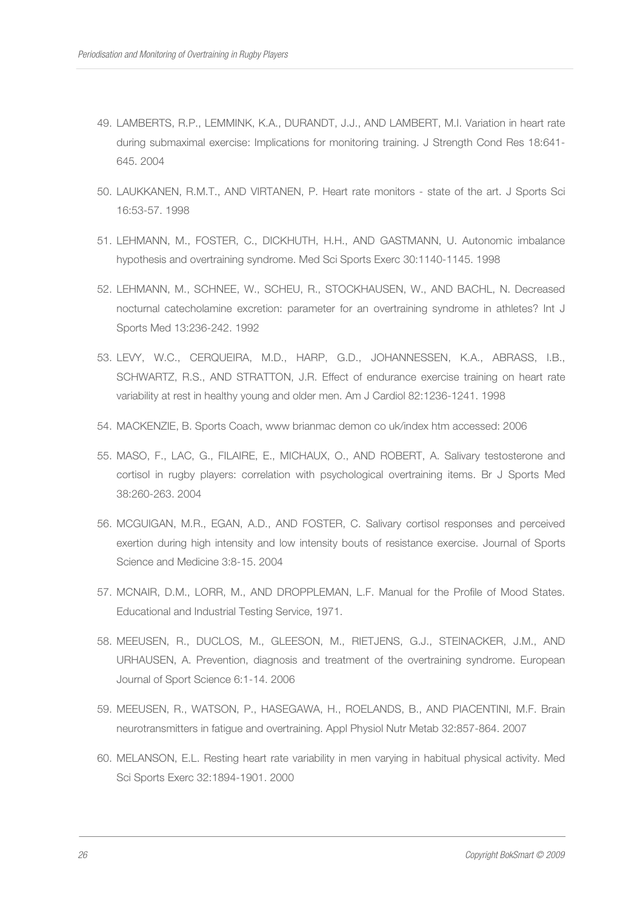- 49. LAMBERTS, R.P., LEMMINK, K.A., DURANDT, J.J., AND LAMBERT, M.I. Variation in heart rate during submaximal exercise: Implications for monitoring training. J Strength Cond Res 18:641- 645. 2004
- 50. LAUKKANEN, R.M.T., AND VIRTANEN, P. Heart rate monitors state of the art. J Sports Sci 16:53-57. 1998
- 51. LEHMANN, M., FOSTER, C., DICKHUTH, H.H., AND GASTMANN, U. Autonomic imbalance hypothesis and overtraining syndrome. Med Sci Sports Exerc 30:1140-1145. 1998
- 52. LEHMANN, M., SCHNEE, W., SCHEU, R., STOCKHAUSEN, W., AND BACHL, N. Decreased nocturnal catecholamine excretion: parameter for an overtraining syndrome in athletes? Int J Sports Med 13:236-242. 1992
- 53. LEVY, W.C., CERQUEIRA, M.D., HARP, G.D., JOHANNESSEN, K.A., ABRASS, I.B., SCHWARTZ, R.S., AND STRATTON, J.R. Effect of endurance exercise training on heart rate variability at rest in healthy young and older men. Am J Cardiol 82:1236-1241. 1998
- 54. MACKENZIE, B. Sports Coach, www brianmac demon co uk/index htm accessed: 2006
- 55. MASO, F., LAC, G., FILAIRE, E., MICHAUX, O., AND ROBERT, A. Salivary testosterone and cortisol in rugby players: correlation with psychological overtraining items. Br J Sports Med 38:260-263. 2004
- 56. MCGUIGAN, M.R., EGAN, A.D., AND FOSTER, C. Salivary cortisol responses and perceived exertion during high intensity and low intensity bouts of resistance exercise. Journal of Sports Science and Medicine 3:8-15. 2004
- 57. MCNAIR, D.M., LORR, M., AND DROPPLEMAN, L.F. Manual for the Profile of Mood States. Educational and Industrial Testing Service, 1971.
- 58. MEEUSEN, R., DUCLOS, M., GLEESON, M., RIETJENS, G.J., STEINACKER, J.M., AND URHAUSEN, A. Prevention, diagnosis and treatment of the overtraining syndrome. European Journal of Sport Science 6:1-14. 2006
- 59. MEEUSEN, R., WATSON, P., HASEGAWA, H., ROELANDS, B., AND PIACENTINI, M.F. Brain neurotransmitters in fatigue and overtraining. Appl Physiol Nutr Metab 32:857-864. 2007
- 60. MELANSON, E.L. Resting heart rate variability in men varying in habitual physical activity. Med Sci Sports Exerc 32:1894-1901. 2000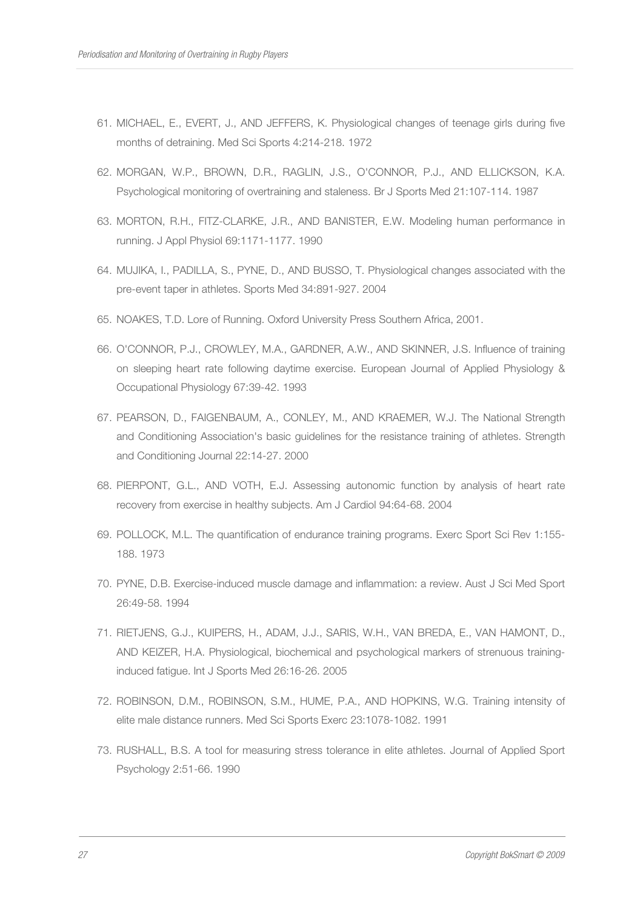- 61. MICHAEL, E., EVERT, J., AND JEFFERS, K. Physiological changes of teenage girls during five months of detraining. Med Sci Sports 4:214-218. 1972
- 62. MORGAN, W.P., BROWN, D.R., RAGLIN, J.S., O'CONNOR, P.J., AND ELLICKSON, K.A. Psychological monitoring of overtraining and staleness. Br J Sports Med 21:107-114. 1987
- 63. MORTON, R.H., FITZ-CLARKE, J.R., AND BANISTER, E.W. Modeling human performance in running. J Appl Physiol 69:1171-1177. 1990
- 64. MUJIKA, I., PADILLA, S., PYNE, D., AND BUSSO, T. Physiological changes associated with the pre-event taper in athletes. Sports Med 34:891-927. 2004
- 65. NOAKES, T.D. Lore of Running. Oxford University Press Southern Africa, 2001.
- 66. O'CONNOR, P.J., CROWLEY, M.A., GARDNER, A.W., AND SKINNER, J.S. Influence of training on sleeping heart rate following daytime exercise. European Journal of Applied Physiology & Occupational Physiology 67:39-42. 1993
- 67. PEARSON, D., FAIGENBAUM, A., CONLEY, M., AND KRAEMER, W.J. The National Strength and Conditioning Association's basic guidelines for the resistance training of athletes. Strength and Conditioning Journal 22:14-27. 2000
- 68. PIERPONT, G.L., AND VOTH, E.J. Assessing autonomic function by analysis of heart rate recovery from exercise in healthy subjects. Am J Cardiol 94:64-68. 2004
- 69. POLLOCK, M.L. The quantification of endurance training programs. Exerc Sport Sci Rev 1:155- 188. 1973
- 70. PYNE, D.B. Exercise-induced muscle damage and inflammation: a review. Aust J Sci Med Sport 26:49-58. 1994
- 71. RIETJENS, G.J., KUIPERS, H., ADAM, J.J., SARIS, W.H., VAN BREDA, E., VAN HAMONT, D., AND KEIZER, H.A. Physiological, biochemical and psychological markers of strenuous traininginduced fatigue. Int J Sports Med 26:16-26. 2005
- 72. ROBINSON, D.M., ROBINSON, S.M., HUME, P.A., AND HOPKINS, W.G. Training intensity of elite male distance runners. Med Sci Sports Exerc 23:1078-1082. 1991
- 73. RUSHALL, B.S. A tool for measuring stress tolerance in elite athletes. Journal of Applied Sport Psychology 2:51-66. 1990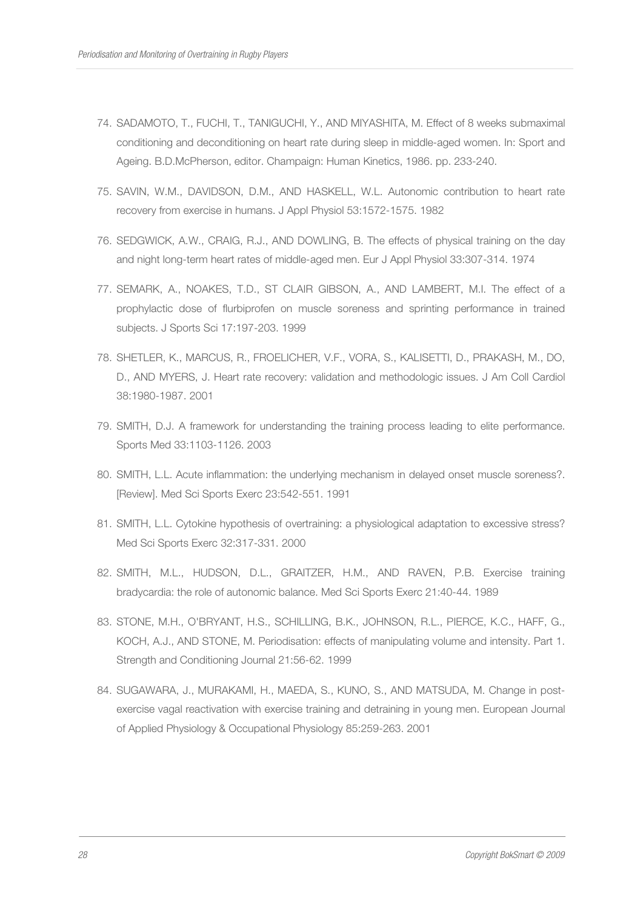- 74. SADAMOTO, T., FUCHI, T., TANIGUCHI, Y., AND MIYASHITA, M. Effect of 8 weeks submaximal conditioning and deconditioning on heart rate during sleep in middle-aged women. In: Sport and Ageing. B.D.McPherson, editor. Champaign: Human Kinetics, 1986. pp. 233-240.
- 75. SAVIN, W.M., DAVIDSON, D.M., AND HASKELL, W.L. Autonomic contribution to heart rate recovery from exercise in humans. J Appl Physiol 53:1572-1575. 1982
- 76. SEDGWICK, A.W., CRAIG, R.J., AND DOWLING, B. The effects of physical training on the day and night long-term heart rates of middle-aged men. Eur J Appl Physiol 33:307-314. 1974
- 77. SEMARK, A., NOAKES, T.D., ST CLAIR GIBSON, A., AND LAMBERT, M.I. The effect of a prophylactic dose of flurbiprofen on muscle soreness and sprinting performance in trained subjects. J Sports Sci 17:197-203. 1999
- 78. SHETLER, K., MARCUS, R., FROELICHER, V.F., VORA, S., KALISETTI, D., PRAKASH, M., DO, D., AND MYERS, J. Heart rate recovery: validation and methodologic issues. J Am Coll Cardiol 38:1980-1987. 2001
- 79. SMITH, D.J. A framework for understanding the training process leading to elite performance. Sports Med 33:1103-1126. 2003
- 80. SMITH, L.L. Acute inflammation: the underlying mechanism in delayed onset muscle soreness?. [Review]. Med Sci Sports Exerc 23:542-551. 1991
- 81. SMITH, L.L. Cytokine hypothesis of overtraining: a physiological adaptation to excessive stress? Med Sci Sports Exerc 32:317-331. 2000
- 82. SMITH, M.L., HUDSON, D.L., GRAITZER, H.M., AND RAVEN, P.B. Exercise training bradycardia: the role of autonomic balance. Med Sci Sports Exerc 21:40-44. 1989
- 83. STONE, M.H., O'BRYANT, H.S., SCHILLING, B.K., JOHNSON, R.L., PIERCE, K.C., HAFF, G., KOCH, A.J., AND STONE, M. Periodisation: effects of manipulating volume and intensity. Part 1. Strength and Conditioning Journal 21:56-62. 1999
- 84. SUGAWARA, J., MURAKAMI, H., MAEDA, S., KUNO, S., AND MATSUDA, M. Change in postexercise vagal reactivation with exercise training and detraining in young men. European Journal of Applied Physiology & Occupational Physiology 85:259-263. 2001